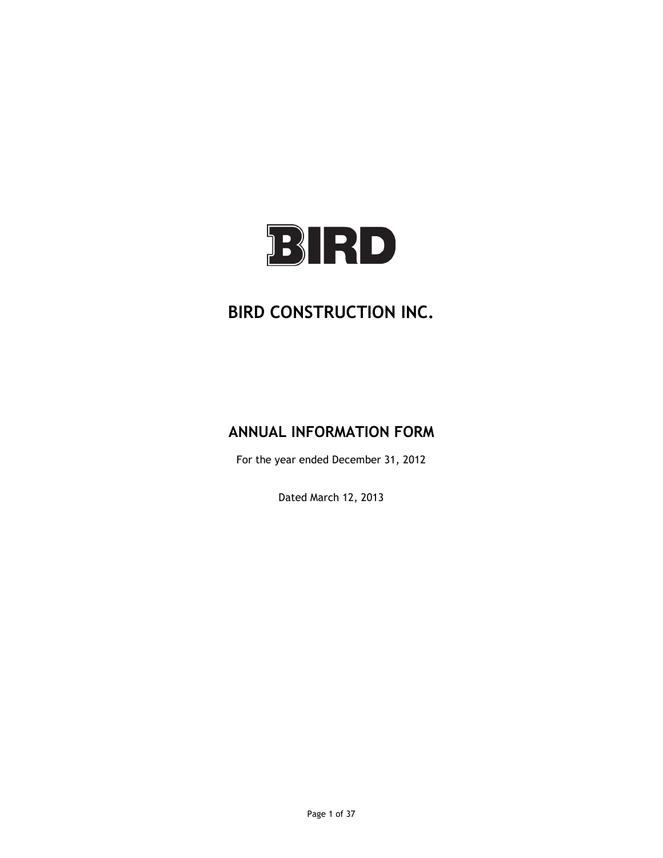

# **BIRD CONSTRUCTION INC.**

# **ANNUAL INFORMATION FORM**

For the year ended December 31, 2012

Dated March 12, 2013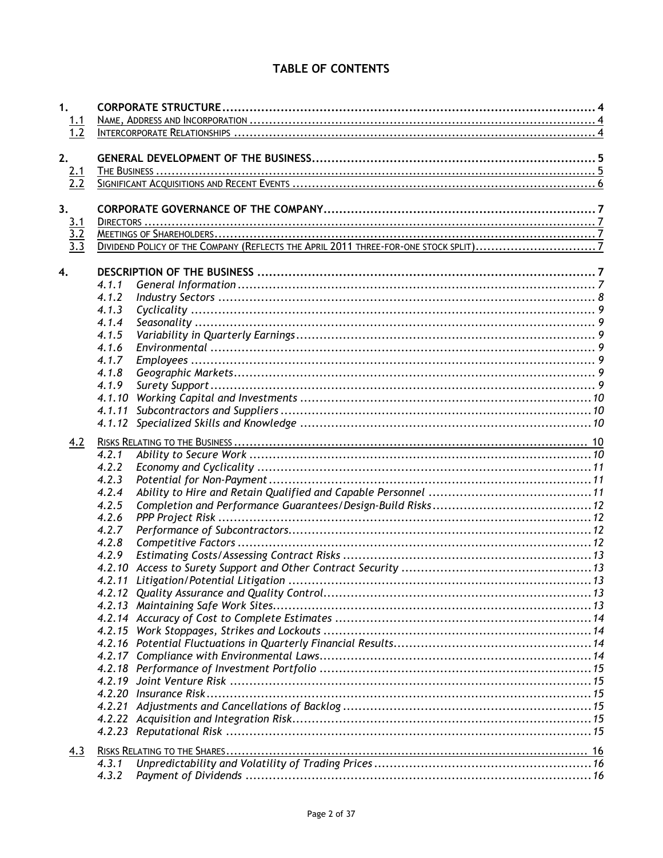# TABLE OF CONTENTS

| 1.                                     |        |  |
|----------------------------------------|--------|--|
|                                        |        |  |
| $\frac{1.1}{1.2}$                      |        |  |
|                                        |        |  |
| 2.                                     |        |  |
|                                        |        |  |
| $\frac{2.1}{2.2}$                      |        |  |
|                                        |        |  |
| 3.                                     |        |  |
|                                        |        |  |
|                                        |        |  |
| $\frac{3.1}{3.2}$<br>$\frac{3.3}{3.3}$ |        |  |
|                                        |        |  |
| 4.                                     |        |  |
|                                        |        |  |
|                                        | 4.1.1  |  |
|                                        | 4.1.2  |  |
|                                        | 4.1.3  |  |
|                                        | 4.1.4  |  |
|                                        | 4.1.5  |  |
|                                        | 4.1.6  |  |
|                                        | 4.1.7  |  |
|                                        | 4.1.8  |  |
|                                        | 4.1.9  |  |
|                                        | 4.1.10 |  |
|                                        | 4.1.11 |  |
|                                        | 4.1.12 |  |
|                                        |        |  |
| 4.2                                    |        |  |
|                                        |        |  |
|                                        | 4.2.2  |  |
|                                        | 4.2.3  |  |
|                                        | 4.2.4  |  |
|                                        | 4.2.5  |  |
|                                        | 4.2.6  |  |
|                                        | 4.2.7  |  |
|                                        | 4.2.8  |  |
|                                        | 4.2.9  |  |
|                                        | 4.2.10 |  |
|                                        |        |  |
|                                        |        |  |
|                                        |        |  |
|                                        |        |  |
|                                        |        |  |
|                                        |        |  |
|                                        |        |  |
|                                        |        |  |
|                                        |        |  |
|                                        |        |  |
|                                        |        |  |
|                                        |        |  |
|                                        |        |  |
|                                        |        |  |
| 4.3                                    |        |  |
|                                        | 4.3.1  |  |
|                                        | 4.3.2  |  |
|                                        |        |  |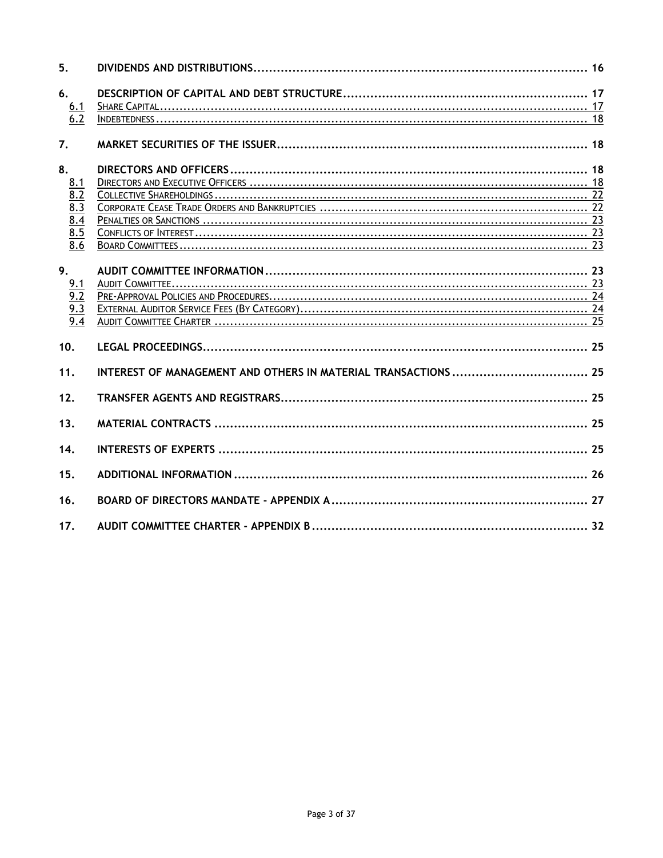| 5.                                                                     |  |
|------------------------------------------------------------------------|--|
| 6.<br>$\frac{6.1}{6.2}$                                                |  |
| 7.                                                                     |  |
| 8.<br>8.1<br>8.2<br>8.3<br>8.4<br>8.5<br>8.6                           |  |
| 9.<br>9.1<br>$\overline{9.2}$<br>$\frac{9.3}{9.3}$<br>$\overline{9.4}$ |  |
| 10.                                                                    |  |
| 11.<br>12.                                                             |  |
| 13.                                                                    |  |
| 14.                                                                    |  |
| 15.                                                                    |  |
| 16.                                                                    |  |
| 17.                                                                    |  |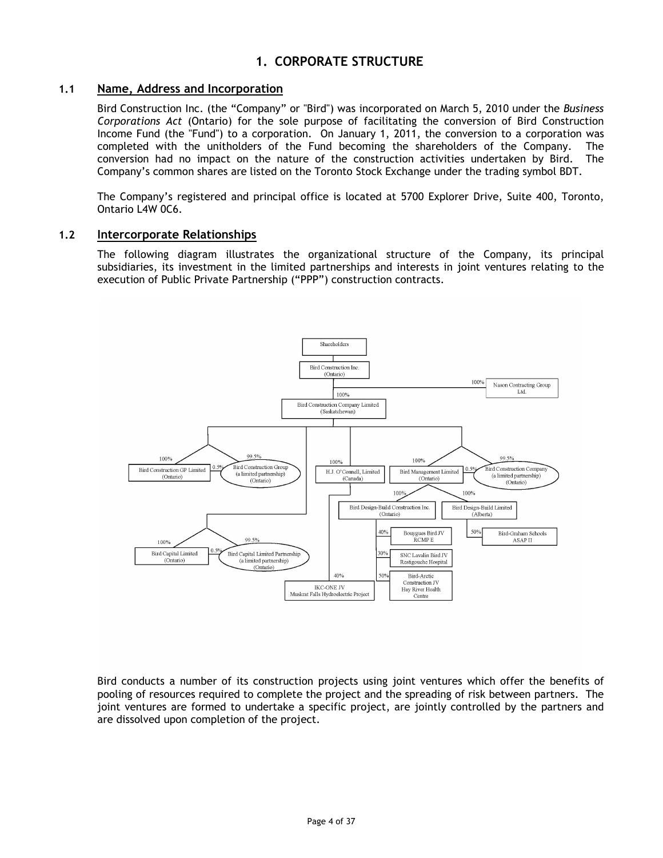# **1. CORPORATE STRUCTURE**

# <span id="page-3-1"></span><span id="page-3-0"></span>**1.1 Name, Address and Incorporation**

Bird Construction Inc. (the "Company" or "Bird") was incorporated on March 5, 2010 under the *Business Corporations Act* (Ontario) for the sole purpose of facilitating the conversion of Bird Construction Income Fund (the "Fund") to a corporation. On January 1, 2011, the conversion to a corporation was completed with the unitholders of the Fund becoming the shareholders of the Company. The conversion had no impact on the nature of the construction activities undertaken by Bird. The Company's common shares are listed on the Toronto Stock Exchange under the trading symbol BDT.

The Company's registered and principal office is located at 5700 Explorer Drive, Suite 400, Toronto, Ontario L4W 0C6.

#### <span id="page-3-2"></span>**1.2 Intercorporate Relationships**

The following diagram illustrates the organizational structure of the Company, its principal subsidiaries, its investment in the limited partnerships and interests in joint ventures relating to the execution of Public Private Partnership ("PPP") construction contracts.



Bird conducts a number of its construction projects using joint ventures which offer the benefits of pooling of resources required to complete the project and the spreading of risk between partners. The joint ventures are formed to undertake a specific project, are jointly controlled by the partners and are dissolved upon completion of the project.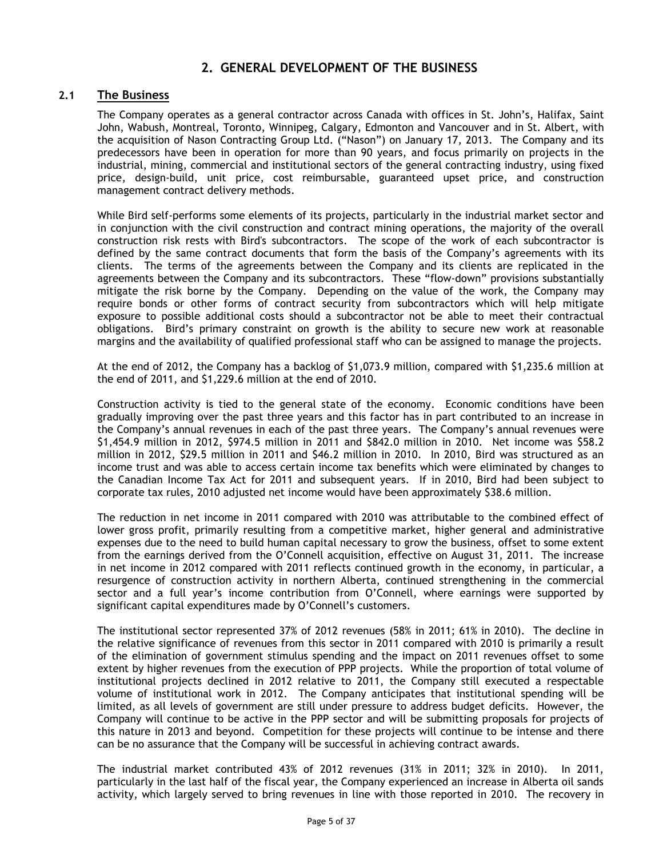# **2. GENERAL DEVELOPMENT OF THE BUSINESS**

# <span id="page-4-1"></span><span id="page-4-0"></span>**2.1 The Business**

The Company operates as a general contractor across Canada with offices in St. John's, Halifax, Saint John, Wabush, Montreal, Toronto, Winnipeg, Calgary, Edmonton and Vancouver and in St. Albert, with the acquisition of Nason Contracting Group Ltd. ("Nason") on January 17, 2013. The Company and its predecessors have been in operation for more than 90 years, and focus primarily on projects in the industrial, mining, commercial and institutional sectors of the general contracting industry, using fixed price, design-build, unit price, cost reimbursable, guaranteed upset price, and construction management contract delivery methods.

While Bird self-performs some elements of its projects, particularly in the industrial market sector and in conjunction with the civil construction and contract mining operations, the majority of the overall construction risk rests with Bird's subcontractors. The scope of the work of each subcontractor is defined by the same contract documents that form the basis of the Company's agreements with its clients. The terms of the agreements between the Company and its clients are replicated in the agreements between the Company and its subcontractors. These "flow-down" provisions substantially mitigate the risk borne by the Company. Depending on the value of the work, the Company may require bonds or other forms of contract security from subcontractors which will help mitigate exposure to possible additional costs should a subcontractor not be able to meet their contractual obligations. Bird's primary constraint on growth is the ability to secure new work at reasonable margins and the availability of qualified professional staff who can be assigned to manage the projects.

At the end of 2012, the Company has a backlog of \$1,073.9 million, compared with \$1,235.6 million at the end of 2011, and \$1,229.6 million at the end of 2010.

Construction activity is tied to the general state of the economy. Economic conditions have been gradually improving over the past three years and this factor has in part contributed to an increase in the Company's annual revenues in each of the past three years. The Company's annual revenues were \$1,454.9 million in 2012, \$974.5 million in 2011 and \$842.0 million in 2010. Net income was \$58.2 million in 2012, \$29.5 million in 2011 and \$46.2 million in 2010. In 2010, Bird was structured as an income trust and was able to access certain income tax benefits which were eliminated by changes to the Canadian Income Tax Act for 2011 and subsequent years. If in 2010, Bird had been subject to corporate tax rules, 2010 adjusted net income would have been approximately \$38.6 million.

The reduction in net income in 2011 compared with 2010 was attributable to the combined effect of lower gross profit, primarily resulting from a competitive market, higher general and administrative expenses due to the need to build human capital necessary to grow the business, offset to some extent from the earnings derived from the O'Connell acquisition, effective on August 31, 2011. The increase in net income in 2012 compared with 2011 reflects continued growth in the economy, in particular, a resurgence of construction activity in northern Alberta, continued strengthening in the commercial sector and a full year's income contribution from O'Connell, where earnings were supported by significant capital expenditures made by O'Connell's customers.

The institutional sector represented 37% of 2012 revenues (58% in 2011; 61% in 2010). The decline in the relative significance of revenues from this sector in 2011 compared with 2010 is primarily a result of the elimination of government stimulus spending and the impact on 2011 revenues offset to some extent by higher revenues from the execution of PPP projects. While the proportion of total volume of institutional projects declined in 2012 relative to 2011, the Company still executed a respectable volume of institutional work in 2012. The Company anticipates that institutional spending will be limited, as all levels of government are still under pressure to address budget deficits. However, the Company will continue to be active in the PPP sector and will be submitting proposals for projects of this nature in 2013 and beyond. Competition for these projects will continue to be intense and there can be no assurance that the Company will be successful in achieving contract awards.

The industrial market contributed 43% of 2012 revenues (31% in 2011; 32% in 2010). In 2011, particularly in the last half of the fiscal year, the Company experienced an increase in Alberta oil sands activity, which largely served to bring revenues in line with those reported in 2010. The recovery in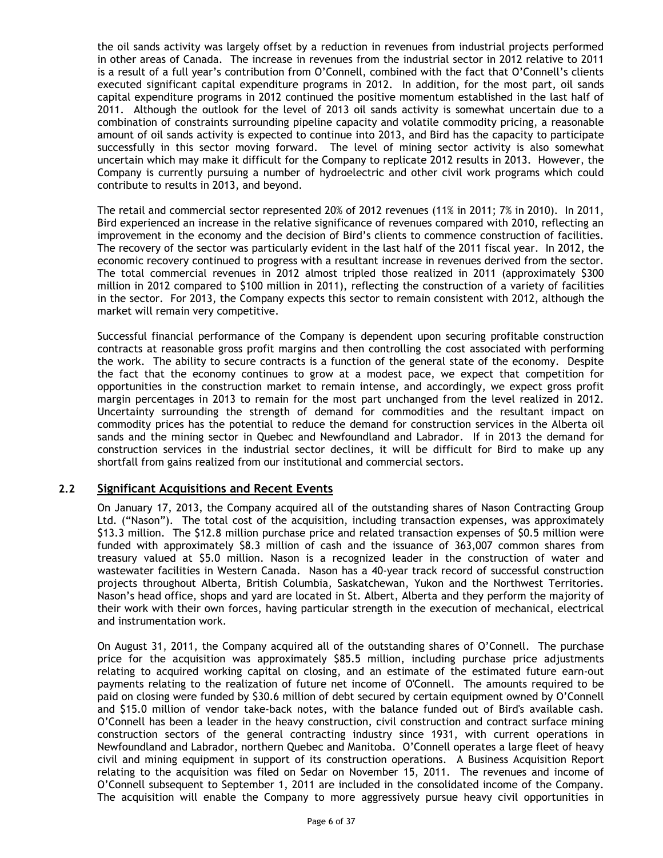the oil sands activity was largely offset by a reduction in revenues from industrial projects performed in other areas of Canada. The increase in revenues from the industrial sector in 2012 relative to 2011 is a result of a full year's contribution from O'Connell, combined with the fact that O'Connell's clients executed significant capital expenditure programs in 2012. In addition, for the most part, oil sands capital expenditure programs in 2012 continued the positive momentum established in the last half of 2011. Although the outlook for the level of 2013 oil sands activity is somewhat uncertain due to a combination of constraints surrounding pipeline capacity and volatile commodity pricing, a reasonable amount of oil sands activity is expected to continue into 2013, and Bird has the capacity to participate successfully in this sector moving forward. The level of mining sector activity is also somewhat uncertain which may make it difficult for the Company to replicate 2012 results in 2013. However, the Company is currently pursuing a number of hydroelectric and other civil work programs which could contribute to results in 2013, and beyond.

The retail and commercial sector represented 20% of 2012 revenues (11% in 2011; 7% in 2010). In 2011, Bird experienced an increase in the relative significance of revenues compared with 2010, reflecting an improvement in the economy and the decision of Bird's clients to commence construction of facilities. The recovery of the sector was particularly evident in the last half of the 2011 fiscal year. In 2012, the economic recovery continued to progress with a resultant increase in revenues derived from the sector. The total commercial revenues in 2012 almost tripled those realized in 2011 (approximately \$300 million in 2012 compared to \$100 million in 2011), reflecting the construction of a variety of facilities in the sector. For 2013, the Company expects this sector to remain consistent with 2012, although the market will remain very competitive.

Successful financial performance of the Company is dependent upon securing profitable construction contracts at reasonable gross profit margins and then controlling the cost associated with performing the work. The ability to secure contracts is a function of the general state of the economy. Despite the fact that the economy continues to grow at a modest pace, we expect that competition for opportunities in the construction market to remain intense, and accordingly, we expect gross profit margin percentages in 2013 to remain for the most part unchanged from the level realized in 2012. Uncertainty surrounding the strength of demand for commodities and the resultant impact on commodity prices has the potential to reduce the demand for construction services in the Alberta oil sands and the mining sector in Quebec and Newfoundland and Labrador. If in 2013 the demand for construction services in the industrial sector declines, it will be difficult for Bird to make up any shortfall from gains realized from our institutional and commercial sectors.

# <span id="page-5-0"></span>**2.2 Significant Acquisitions and Recent Events**

On January 17, 2013, the Company acquired all of the outstanding shares of Nason Contracting Group Ltd. ("Nason"). The total cost of the acquisition, including transaction expenses, was approximately \$13.3 million. The \$12.8 million purchase price and related transaction expenses of \$0.5 million were funded with approximately \$8.3 million of cash and the issuance of 363,007 common shares from treasury valued at \$5.0 million. Nason is a recognized leader in the construction of water and wastewater facilities in Western Canada. Nason has a 40-year track record of successful construction projects throughout Alberta, British Columbia, Saskatchewan, Yukon and the Northwest Territories. Nason's head office, shops and yard are located in St. Albert, Alberta and they perform the majority of their work with their own forces, having particular strength in the execution of mechanical, electrical and instrumentation work.

On August 31, 2011, the Company acquired all of the outstanding shares of O'Connell. The purchase price for the acquisition was approximately \$85.5 million, including purchase price adjustments relating to acquired working capital on closing, and an estimate of the estimated future earn-out payments relating to the realization of future net income of O'Connell. The amounts required to be paid on closing were funded by \$30.6 million of debt secured by certain equipment owned by O'Connell and \$15.0 million of vendor take-back notes, with the balance funded out of Bird's available cash. O'Connell has been a leader in the heavy construction, civil construction and contract surface mining construction sectors of the general contracting industry since 1931, with current operations in Newfoundland and Labrador, northern Quebec and Manitoba. O'Connell operates a large fleet of heavy civil and mining equipment in support of its construction operations. A Business Acquisition Report relating to the acquisition was filed on Sedar on November 15, 2011. The revenues and income of O'Connell subsequent to September 1, 2011 are included in the consolidated income of the Company. The acquisition will enable the Company to more aggressively pursue heavy civil opportunities in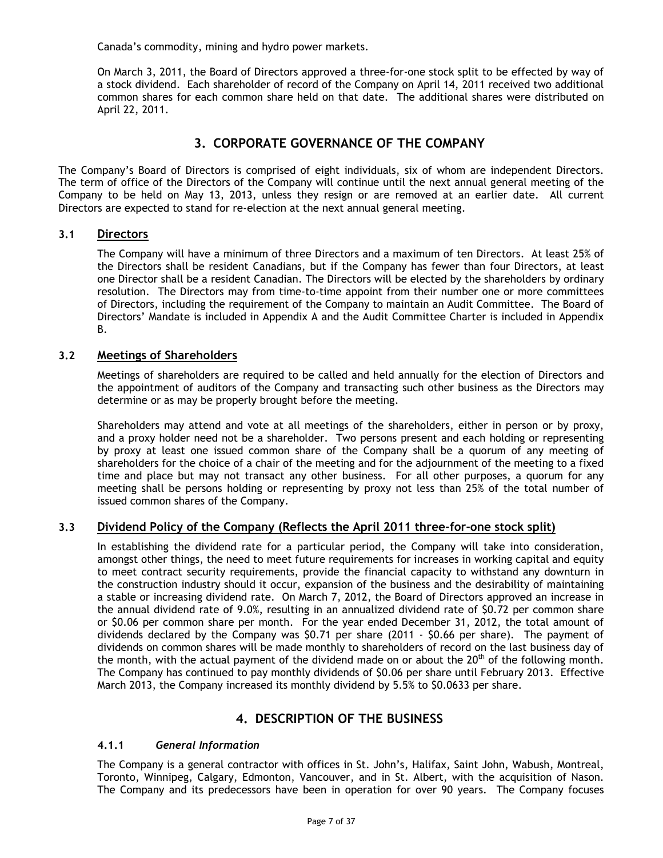Canada's commodity, mining and hydro power markets.

On March 3, 2011, the Board of Directors approved a three-for-one stock split to be effected by way of a stock dividend. Each shareholder of record of the Company on April 14, 2011 received two additional common shares for each common share held on that date. The additional shares were distributed on April 22, 2011.

# **3. CORPORATE GOVERNANCE OF THE COMPANY**

<span id="page-6-0"></span>The Company's Board of Directors is comprised of eight individuals, six of whom are independent Directors. The term of office of the Directors of the Company will continue until the next annual general meeting of the Company to be held on May 13, 2013, unless they resign or are removed at an earlier date. All current Directors are expected to stand for re-election at the next annual general meeting.

## **3.1 Directors**

<span id="page-6-1"></span>The Company will have a minimum of three Directors and a maximum of ten Directors. At least 25% of the Directors shall be resident Canadians, but if the Company has fewer than four Directors, at least one Director shall be a resident Canadian. The Directors will be elected by the shareholders by ordinary resolution. The Directors may from time-to-time appoint from their number one or more committees of Directors, including the requirement of the Company to maintain an Audit Committee. The Board of Directors' Mandate is included in Appendix A and the Audit Committee Charter is included in Appendix B.

## <span id="page-6-2"></span>**3.2 Meetings of Shareholders**

Meetings of shareholders are required to be called and held annually for the election of Directors and the appointment of auditors of the Company and transacting such other business as the Directors may determine or as may be properly brought before the meeting.

Shareholders may attend and vote at all meetings of the shareholders, either in person or by proxy, and a proxy holder need not be a shareholder. Two persons present and each holding or representing by proxy at least one issued common share of the Company shall be a quorum of any meeting of shareholders for the choice of a chair of the meeting and for the adjournment of the meeting to a fixed time and place but may not transact any other business. For all other purposes, a quorum for any meeting shall be persons holding or representing by proxy not less than 25% of the total number of issued common shares of the Company.

# <span id="page-6-3"></span>**3.3 Dividend Policy of the Company (Reflects the April 2011 three-for-one stock split)**

In establishing the dividend rate for a particular period, the Company will take into consideration, amongst other things, the need to meet future requirements for increases in working capital and equity to meet contract security requirements, provide the financial capacity to withstand any downturn in the construction industry should it occur, expansion of the business and the desirability of maintaining a stable or increasing dividend rate. On March 7, 2012, the Board of Directors approved an increase in the annual dividend rate of 9.0%, resulting in an annualized dividend rate of \$0.72 per common share or \$0.06 per common share per month. For the year ended December 31, 2012, the total amount of dividends declared by the Company was \$0.71 per share (2011 - \$0.66 per share). The payment of dividends on common shares will be made monthly to shareholders of record on the last business day of the month, with the actual payment of the dividend made on or about the  $20<sup>th</sup>$  of the following month. The Company has continued to pay monthly dividends of \$0.06 per share until February 2013. Effective March 2013, the Company increased its monthly dividend by 5.5% to \$0.0633 per share.

# **4. DESCRIPTION OF THE BUSINESS**

# <span id="page-6-5"></span><span id="page-6-4"></span>**4.1.1** *General Information*

The Company is a general contractor with offices in St. John's, Halifax, Saint John, Wabush, Montreal, Toronto, Winnipeg, Calgary, Edmonton, Vancouver, and in St. Albert, with the acquisition of Nason. The Company and its predecessors have been in operation for over 90 years. The Company focuses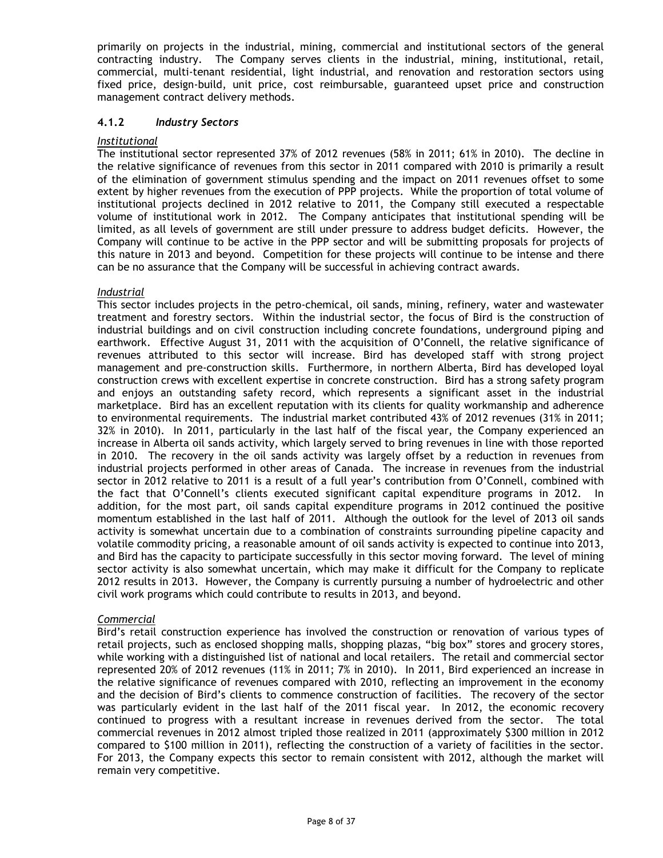primarily on projects in the industrial, mining, commercial and institutional sectors of the general contracting industry. The Company serves clients in the industrial, mining, institutional, retail, commercial, multi-tenant residential, light industrial, and renovation and restoration sectors using fixed price, design-build, unit price, cost reimbursable, guaranteed upset price and construction management contract delivery methods.

## <span id="page-7-0"></span>**4.1.2** *Industry Sectors*

#### *Institutional*

The institutional sector represented 37% of 2012 revenues (58% in 2011; 61% in 2010). The decline in the relative significance of revenues from this sector in 2011 compared with 2010 is primarily a result of the elimination of government stimulus spending and the impact on 2011 revenues offset to some extent by higher revenues from the execution of PPP projects. While the proportion of total volume of institutional projects declined in 2012 relative to 2011, the Company still executed a respectable volume of institutional work in 2012. The Company anticipates that institutional spending will be limited, as all levels of government are still under pressure to address budget deficits. However, the Company will continue to be active in the PPP sector and will be submitting proposals for projects of this nature in 2013 and beyond. Competition for these projects will continue to be intense and there can be no assurance that the Company will be successful in achieving contract awards.

## *Industrial*

This sector includes projects in the petro-chemical, oil sands, mining, refinery, water and wastewater treatment and forestry sectors. Within the industrial sector, the focus of Bird is the construction of industrial buildings and on civil construction including concrete foundations, underground piping and earthwork. Effective August 31, 2011 with the acquisition of O'Connell, the relative significance of revenues attributed to this sector will increase. Bird has developed staff with strong project management and pre-construction skills. Furthermore, in northern Alberta, Bird has developed loyal construction crews with excellent expertise in concrete construction. Bird has a strong safety program and enjoys an outstanding safety record, which represents a significant asset in the industrial marketplace. Bird has an excellent reputation with its clients for quality workmanship and adherence to environmental requirements. The industrial market contributed 43% of 2012 revenues (31% in 2011; 32% in 2010). In 2011, particularly in the last half of the fiscal year, the Company experienced an increase in Alberta oil sands activity, which largely served to bring revenues in line with those reported in 2010. The recovery in the oil sands activity was largely offset by a reduction in revenues from industrial projects performed in other areas of Canada. The increase in revenues from the industrial sector in 2012 relative to 2011 is a result of a full year's contribution from O'Connell, combined with the fact that O'Connell's clients executed significant capital expenditure programs in 2012. In addition, for the most part, oil sands capital expenditure programs in 2012 continued the positive momentum established in the last half of 2011. Although the outlook for the level of 2013 oil sands activity is somewhat uncertain due to a combination of constraints surrounding pipeline capacity and volatile commodity pricing, a reasonable amount of oil sands activity is expected to continue into 2013, and Bird has the capacity to participate successfully in this sector moving forward. The level of mining sector activity is also somewhat uncertain, which may make it difficult for the Company to replicate 2012 results in 2013. However, the Company is currently pursuing a number of hydroelectric and other civil work programs which could contribute to results in 2013, and beyond.

#### *Commercial*

Bird's retail construction experience has involved the construction or renovation of various types of retail projects, such as enclosed shopping malls, shopping plazas, "big box" stores and grocery stores, while working with a distinguished list of national and local retailers. The retail and commercial sector represented 20% of 2012 revenues (11% in 2011; 7% in 2010). In 2011, Bird experienced an increase in the relative significance of revenues compared with 2010, reflecting an improvement in the economy and the decision of Bird's clients to commence construction of facilities. The recovery of the sector was particularly evident in the last half of the 2011 fiscal year. In 2012, the economic recovery continued to progress with a resultant increase in revenues derived from the sector. The total commercial revenues in 2012 almost tripled those realized in 2011 (approximately \$300 million in 2012 compared to \$100 million in 2011), reflecting the construction of a variety of facilities in the sector. For 2013, the Company expects this sector to remain consistent with 2012, although the market will remain very competitive.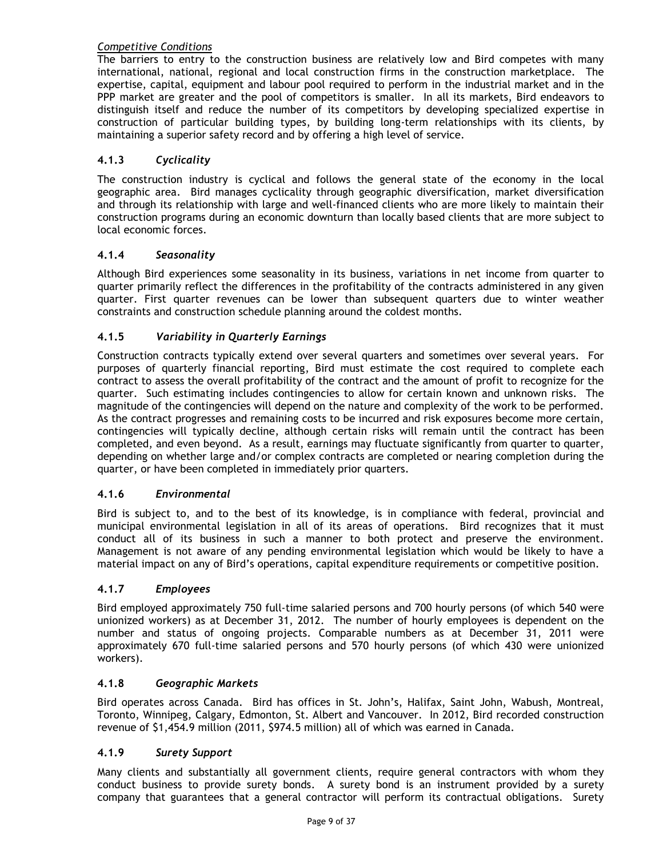# *Competitive Conditions*

The barriers to entry to the construction business are relatively low and Bird competes with many international, national, regional and local construction firms in the construction marketplace. The expertise, capital, equipment and labour pool required to perform in the industrial market and in the PPP market are greater and the pool of competitors is smaller. In all its markets, Bird endeavors to distinguish itself and reduce the number of its competitors by developing specialized expertise in construction of particular building types, by building long-term relationships with its clients, by maintaining a superior safety record and by offering a high level of service.

# <span id="page-8-0"></span>**4.1.3** *Cyclicality*

The construction industry is cyclical and follows the general state of the economy in the local geographic area. Bird manages cyclicality through geographic diversification, market diversification and through its relationship with large and well-financed clients who are more likely to maintain their construction programs during an economic downturn than locally based clients that are more subject to local economic forces.

# <span id="page-8-1"></span>**4.1.4** *Seasonality*

Although Bird experiences some seasonality in its business, variations in net income from quarter to quarter primarily reflect the differences in the profitability of the contracts administered in any given quarter. First quarter revenues can be lower than subsequent quarters due to winter weather constraints and construction schedule planning around the coldest months.

# <span id="page-8-2"></span>**4.1.5** *Variability in Quarterly Earnings*

Construction contracts typically extend over several quarters and sometimes over several years. For purposes of quarterly financial reporting, Bird must estimate the cost required to complete each contract to assess the overall profitability of the contract and the amount of profit to recognize for the quarter. Such estimating includes contingencies to allow for certain known and unknown risks. The magnitude of the contingencies will depend on the nature and complexity of the work to be performed. As the contract progresses and remaining costs to be incurred and risk exposures become more certain, contingencies will typically decline, although certain risks will remain until the contract has been completed, and even beyond. As a result, earnings may fluctuate significantly from quarter to quarter, depending on whether large and/or complex contracts are completed or nearing completion during the quarter, or have been completed in immediately prior quarters.

# <span id="page-8-3"></span>**4.1.6** *Environmental*

Bird is subject to, and to the best of its knowledge, is in compliance with federal, provincial and municipal environmental legislation in all of its areas of operations. Bird recognizes that it must conduct all of its business in such a manner to both protect and preserve the environment. Management is not aware of any pending environmental legislation which would be likely to have a material impact on any of Bird's operations, capital expenditure requirements or competitive position.

# <span id="page-8-4"></span>**4.1.7** *Employees*

Bird employed approximately 750 full-time salaried persons and 700 hourly persons (of which 540 were unionized workers) as at December 31, 2012. The number of hourly employees is dependent on the number and status of ongoing projects. Comparable numbers as at December 31, 2011 were approximately 670 full-time salaried persons and 570 hourly persons (of which 430 were unionized workers).

#### <span id="page-8-5"></span>**4.1.8** *Geographic Markets*

Bird operates across Canada. Bird has offices in St. John's, Halifax, Saint John, Wabush, Montreal, Toronto, Winnipeg, Calgary, Edmonton, St. Albert and Vancouver. In 2012, Bird recorded construction revenue of \$1,454.9 million (2011, \$974.5 million) all of which was earned in Canada.

# <span id="page-8-6"></span>**4.1.9** *Surety Support*

Many clients and substantially all government clients, require general contractors with whom they conduct business to provide surety bonds. A surety bond is an instrument provided by a surety company that guarantees that a general contractor will perform its contractual obligations. Surety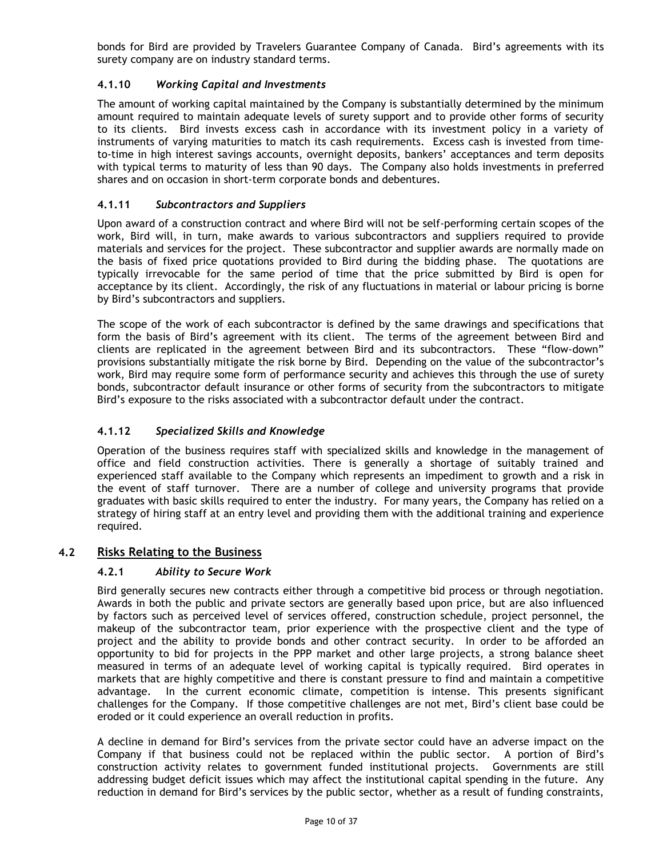bonds for Bird are provided by Travelers Guarantee Company of Canada. Bird's agreements with its surety company are on industry standard terms.

# <span id="page-9-0"></span>**4.1.10** *Working Capital and Investments*

The amount of working capital maintained by the Company is substantially determined by the minimum amount required to maintain adequate levels of surety support and to provide other forms of security to its clients. Bird invests excess cash in accordance with its investment policy in a variety of instruments of varying maturities to match its cash requirements. Excess cash is invested from timeto-time in high interest savings accounts, overnight deposits, bankers' acceptances and term deposits with typical terms to maturity of less than 90 days. The Company also holds investments in preferred shares and on occasion in short-term corporate bonds and debentures.

# <span id="page-9-1"></span>**4.1.11** *Subcontractors and Suppliers*

Upon award of a construction contract and where Bird will not be self-performing certain scopes of the work, Bird will, in turn, make awards to various subcontractors and suppliers required to provide materials and services for the project. These subcontractor and supplier awards are normally made on the basis of fixed price quotations provided to Bird during the bidding phase. The quotations are typically irrevocable for the same period of time that the price submitted by Bird is open for acceptance by its client. Accordingly, the risk of any fluctuations in material or labour pricing is borne by Bird's subcontractors and suppliers.

The scope of the work of each subcontractor is defined by the same drawings and specifications that form the basis of Bird's agreement with its client. The terms of the agreement between Bird and clients are replicated in the agreement between Bird and its subcontractors. These "flow-down" provisions substantially mitigate the risk borne by Bird. Depending on the value of the subcontractor's work, Bird may require some form of performance security and achieves this through the use of surety bonds, subcontractor default insurance or other forms of security from the subcontractors to mitigate Bird's exposure to the risks associated with a subcontractor default under the contract.

# <span id="page-9-2"></span>**4.1.12** *Specialized Skills and Knowledge*

Operation of the business requires staff with specialized skills and knowledge in the management of office and field construction activities. There is generally a shortage of suitably trained and experienced staff available to the Company which represents an impediment to growth and a risk in the event of staff turnover. There are a number of college and university programs that provide graduates with basic skills required to enter the industry. For many years, the Company has relied on a strategy of hiring staff at an entry level and providing them with the additional training and experience required.

# <span id="page-9-4"></span><span id="page-9-3"></span>**4.2 Risks Relating to the Business**

# **4.2.1** *Ability to Secure Work*

Bird generally secures new contracts either through a competitive bid process or through negotiation. Awards in both the public and private sectors are generally based upon price, but are also influenced by factors such as perceived level of services offered, construction schedule, project personnel, the makeup of the subcontractor team, prior experience with the prospective client and the type of project and the ability to provide bonds and other contract security. In order to be afforded an opportunity to bid for projects in the PPP market and other large projects, a strong balance sheet measured in terms of an adequate level of working capital is typically required. Bird operates in markets that are highly competitive and there is constant pressure to find and maintain a competitive advantage. In the current economic climate, competition is intense. This presents significant challenges for the Company. If those competitive challenges are not met, Bird's client base could be eroded or it could experience an overall reduction in profits.

A decline in demand for Bird's services from the private sector could have an adverse impact on the Company if that business could not be replaced within the public sector. A portion of Bird's construction activity relates to government funded institutional projects. Governments are still addressing budget deficit issues which may affect the institutional capital spending in the future. Any reduction in demand for Bird's services by the public sector, whether as a result of funding constraints,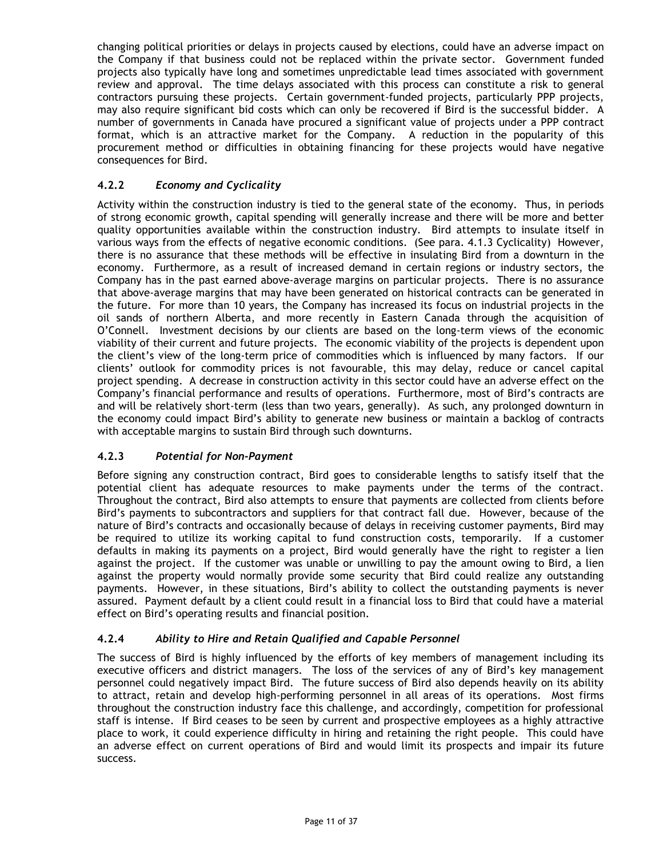changing political priorities or delays in projects caused by elections, could have an adverse impact on the Company if that business could not be replaced within the private sector. Government funded projects also typically have long and sometimes unpredictable lead times associated with government review and approval. The time delays associated with this process can constitute a risk to general contractors pursuing these projects. Certain government-funded projects, particularly PPP projects, may also require significant bid costs which can only be recovered if Bird is the successful bidder. A number of governments in Canada have procured a significant value of projects under a PPP contract format, which is an attractive market for the Company. A reduction in the popularity of this procurement method or difficulties in obtaining financing for these projects would have negative consequences for Bird.

# <span id="page-10-0"></span>**4.2.2** *Economy and Cyclicality*

Activity within the construction industry is tied to the general state of the economy. Thus, in periods of strong economic growth, capital spending will generally increase and there will be more and better quality opportunities available within the construction industry. Bird attempts to insulate itself in various ways from the effects of negative economic conditions. (See para. 4.1.3 Cyclicality) However, there is no assurance that these methods will be effective in insulating Bird from a downturn in the economy. Furthermore, as a result of increased demand in certain regions or industry sectors, the Company has in the past earned above-average margins on particular projects. There is no assurance that above-average margins that may have been generated on historical contracts can be generated in the future. For more than 10 years, the Company has increased its focus on industrial projects in the oil sands of northern Alberta, and more recently in Eastern Canada through the acquisition of O'Connell. Investment decisions by our clients are based on the long-term views of the economic viability of their current and future projects. The economic viability of the projects is dependent upon the client's view of the long-term price of commodities which is influenced by many factors. If our clients' outlook for commodity prices is not favourable, this may delay, reduce or cancel capital project spending. A decrease in construction activity in this sector could have an adverse effect on the Company's financial performance and results of operations. Furthermore, most of Bird's contracts are and will be relatively short-term (less than two years, generally). As such, any prolonged downturn in the economy could impact Bird's ability to generate new business or maintain a backlog of contracts with acceptable margins to sustain Bird through such downturns.

# <span id="page-10-1"></span>**4.2.3** *Potential for Non-Payment*

Before signing any construction contract, Bird goes to considerable lengths to satisfy itself that the potential client has adequate resources to make payments under the terms of the contract. Throughout the contract, Bird also attempts to ensure that payments are collected from clients before Bird's payments to subcontractors and suppliers for that contract fall due. However, because of the nature of Bird's contracts and occasionally because of delays in receiving customer payments, Bird may be required to utilize its working capital to fund construction costs, temporarily. If a customer defaults in making its payments on a project, Bird would generally have the right to register a lien against the project. If the customer was unable or unwilling to pay the amount owing to Bird, a lien against the property would normally provide some security that Bird could realize any outstanding payments. However, in these situations, Bird's ability to collect the outstanding payments is never assured. Payment default by a client could result in a financial loss to Bird that could have a material effect on Bird's operating results and financial position.

# <span id="page-10-2"></span>**4.2.4** *Ability to Hire and Retain Qualified and Capable Personnel*

The success of Bird is highly influenced by the efforts of key members of management including its executive officers and district managers. The loss of the services of any of Bird's key management personnel could negatively impact Bird. The future success of Bird also depends heavily on its ability to attract, retain and develop high-performing personnel in all areas of its operations. Most firms throughout the construction industry face this challenge, and accordingly, competition for professional staff is intense. If Bird ceases to be seen by current and prospective employees as a highly attractive place to work, it could experience difficulty in hiring and retaining the right people. This could have an adverse effect on current operations of Bird and would limit its prospects and impair its future success.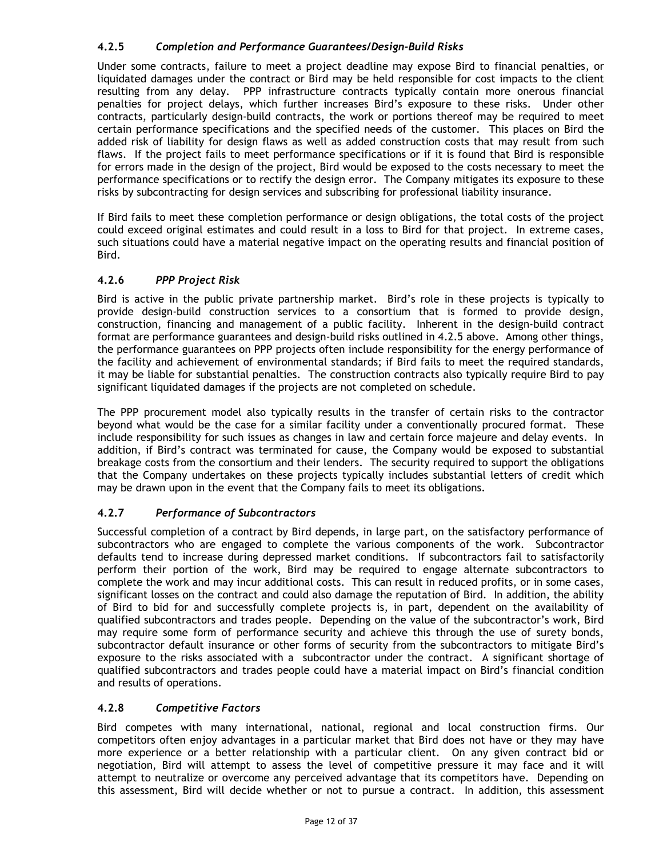# <span id="page-11-0"></span>**4.2.5** *Completion and Performance Guarantees/Design-Build Risks*

Under some contracts, failure to meet a project deadline may expose Bird to financial penalties, or liquidated damages under the contract or Bird may be held responsible for cost impacts to the client resulting from any delay. PPP infrastructure contracts typically contain more onerous financial penalties for project delays, which further increases Bird's exposure to these risks. Under other contracts, particularly design-build contracts, the work or portions thereof may be required to meet certain performance specifications and the specified needs of the customer. This places on Bird the added risk of liability for design flaws as well as added construction costs that may result from such flaws. If the project fails to meet performance specifications or if it is found that Bird is responsible for errors made in the design of the project, Bird would be exposed to the costs necessary to meet the performance specifications or to rectify the design error. The Company mitigates its exposure to these risks by subcontracting for design services and subscribing for professional liability insurance.

If Bird fails to meet these completion performance or design obligations, the total costs of the project could exceed original estimates and could result in a loss to Bird for that project. In extreme cases, such situations could have a material negative impact on the operating results and financial position of Bird.

# <span id="page-11-1"></span>**4.2.6** *PPP Project Risk*

Bird is active in the public private partnership market. Bird's role in these projects is typically to provide design-build construction services to a consortium that is formed to provide design, construction, financing and management of a public facility. Inherent in the design-build contract format are performance guarantees and design-build risks outlined in 4.2.5 above. Among other things, the performance guarantees on PPP projects often include responsibility for the energy performance of the facility and achievement of environmental standards; if Bird fails to meet the required standards, it may be liable for substantial penalties. The construction contracts also typically require Bird to pay significant liquidated damages if the projects are not completed on schedule.

The PPP procurement model also typically results in the transfer of certain risks to the contractor beyond what would be the case for a similar facility under a conventionally procured format. These include responsibility for such issues as changes in law and certain force majeure and delay events. In addition, if Bird's contract was terminated for cause, the Company would be exposed to substantial breakage costs from the consortium and their lenders. The security required to support the obligations that the Company undertakes on these projects typically includes substantial letters of credit which may be drawn upon in the event that the Company fails to meet its obligations.

# <span id="page-11-2"></span>**4.2.7** *Performance of Subcontractors*

Successful completion of a contract by Bird depends, in large part, on the satisfactory performance of subcontractors who are engaged to complete the various components of the work. Subcontractor defaults tend to increase during depressed market conditions. If subcontractors fail to satisfactorily perform their portion of the work, Bird may be required to engage alternate subcontractors to complete the work and may incur additional costs. This can result in reduced profits, or in some cases, significant losses on the contract and could also damage the reputation of Bird. In addition, the ability of Bird to bid for and successfully complete projects is, in part, dependent on the availability of qualified subcontractors and trades people. Depending on the value of the subcontractor's work, Bird may require some form of performance security and achieve this through the use of surety bonds, subcontractor default insurance or other forms of security from the subcontractors to mitigate Bird's exposure to the risks associated with a subcontractor under the contract. A significant shortage of qualified subcontractors and trades people could have a material impact on Bird's financial condition and results of operations.

# <span id="page-11-3"></span>**4.2.8** *Competitive Factors*

Bird competes with many international, national, regional and local construction firms. Our competitors often enjoy advantages in a particular market that Bird does not have or they may have more experience or a better relationship with a particular client. On any given contract bid or negotiation, Bird will attempt to assess the level of competitive pressure it may face and it will attempt to neutralize or overcome any perceived advantage that its competitors have. Depending on this assessment, Bird will decide whether or not to pursue a contract. In addition, this assessment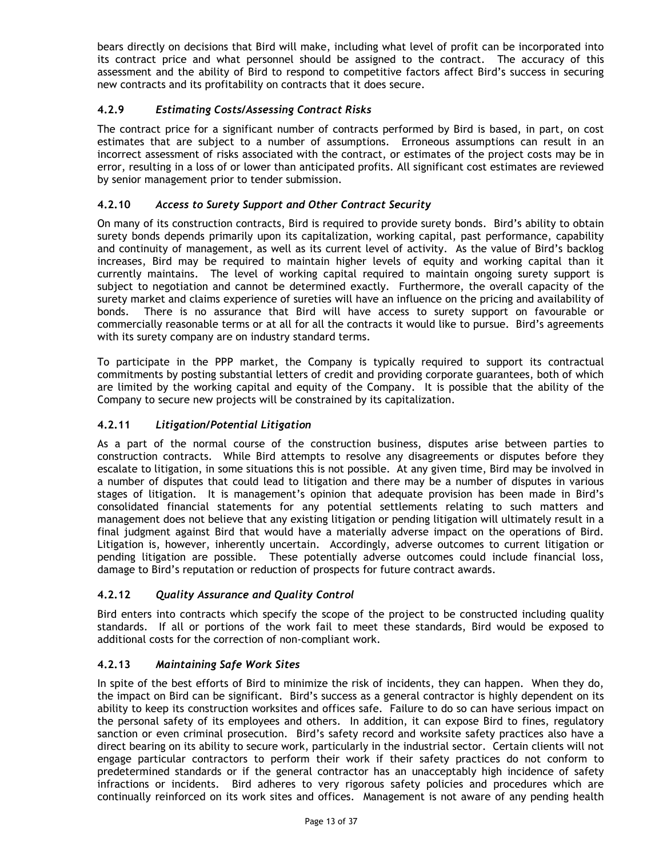bears directly on decisions that Bird will make, including what level of profit can be incorporated into its contract price and what personnel should be assigned to the contract. The accuracy of this assessment and the ability of Bird to respond to competitive factors affect Bird's success in securing new contracts and its profitability on contracts that it does secure.

# <span id="page-12-0"></span>**4.2.9** *Estimating Costs/Assessing Contract Risks*

The contract price for a significant number of contracts performed by Bird is based, in part, on cost estimates that are subject to a number of assumptions. Erroneous assumptions can result in an incorrect assessment of risks associated with the contract, or estimates of the project costs may be in error, resulting in a loss of or lower than anticipated profits. All significant cost estimates are reviewed by senior management prior to tender submission.

# <span id="page-12-1"></span>**4.2.10** *Access to Surety Support and Other Contract Security*

On many of its construction contracts, Bird is required to provide surety bonds. Bird's ability to obtain surety bonds depends primarily upon its capitalization, working capital, past performance, capability and continuity of management, as well as its current level of activity. As the value of Bird's backlog increases, Bird may be required to maintain higher levels of equity and working capital than it currently maintains. The level of working capital required to maintain ongoing surety support is subject to negotiation and cannot be determined exactly. Furthermore, the overall capacity of the surety market and claims experience of sureties will have an influence on the pricing and availability of bonds. There is no assurance that Bird will have access to surety support on favourable or commercially reasonable terms or at all for all the contracts it would like to pursue. Bird's agreements with its surety company are on industry standard terms.

To participate in the PPP market, the Company is typically required to support its contractual commitments by posting substantial letters of credit and providing corporate guarantees, both of which are limited by the working capital and equity of the Company. It is possible that the ability of the Company to secure new projects will be constrained by its capitalization.

# <span id="page-12-2"></span>**4.2.11** *Litigation/Potential Litigation*

As a part of the normal course of the construction business, disputes arise between parties to construction contracts. While Bird attempts to resolve any disagreements or disputes before they escalate to litigation, in some situations this is not possible. At any given time, Bird may be involved in a number of disputes that could lead to litigation and there may be a number of disputes in various stages of litigation. It is management's opinion that adequate provision has been made in Bird's consolidated financial statements for any potential settlements relating to such matters and management does not believe that any existing litigation or pending litigation will ultimately result in a final judgment against Bird that would have a materially adverse impact on the operations of Bird. Litigation is, however, inherently uncertain. Accordingly, adverse outcomes to current litigation or pending litigation are possible. These potentially adverse outcomes could include financial loss, damage to Bird's reputation or reduction of prospects for future contract awards.

# <span id="page-12-3"></span>**4.2.12** *Quality Assurance and Quality Control*

Bird enters into contracts which specify the scope of the project to be constructed including quality standards. If all or portions of the work fail to meet these standards, Bird would be exposed to additional costs for the correction of non-compliant work.

#### <span id="page-12-4"></span>**4.2.13** *Maintaining Safe Work Sites*

In spite of the best efforts of Bird to minimize the risk of incidents, they can happen. When they do, the impact on Bird can be significant. Bird's success as a general contractor is highly dependent on its ability to keep its construction worksites and offices safe. Failure to do so can have serious impact on the personal safety of its employees and others. In addition, it can expose Bird to fines, regulatory sanction or even criminal prosecution. Bird's safety record and worksite safety practices also have a direct bearing on its ability to secure work, particularly in the industrial sector. Certain clients will not engage particular contractors to perform their work if their safety practices do not conform to predetermined standards or if the general contractor has an unacceptably high incidence of safety infractions or incidents. Bird adheres to very rigorous safety policies and procedures which are continually reinforced on its work sites and offices. Management is not aware of any pending health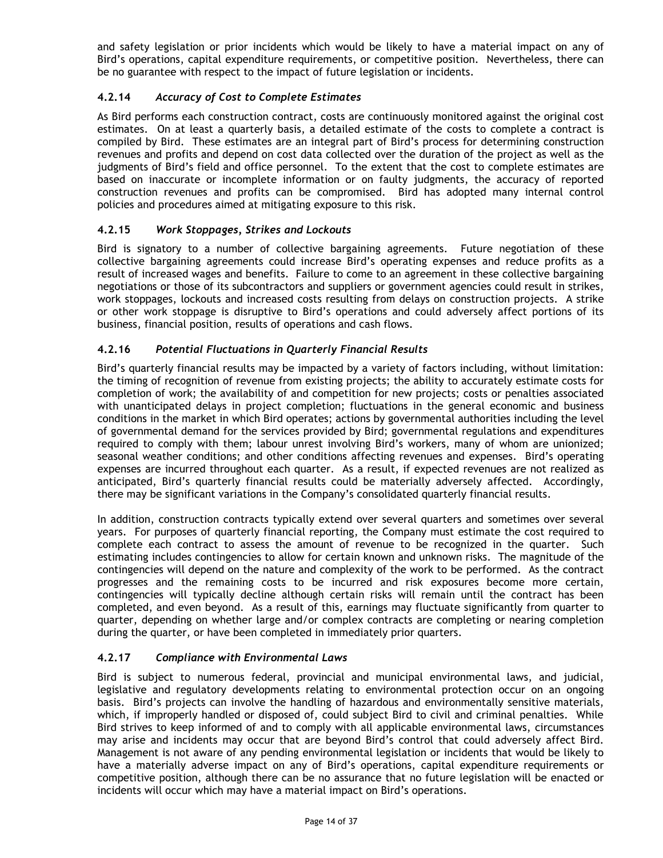and safety legislation or prior incidents which would be likely to have a material impact on any of Bird's operations, capital expenditure requirements, or competitive position. Nevertheless, there can be no guarantee with respect to the impact of future legislation or incidents.

# <span id="page-13-0"></span>**4.2.14** *Accuracy of Cost to Complete Estimates*

As Bird performs each construction contract, costs are continuously monitored against the original cost estimates. On at least a quarterly basis, a detailed estimate of the costs to complete a contract is compiled by Bird. These estimates are an integral part of Bird's process for determining construction revenues and profits and depend on cost data collected over the duration of the project as well as the judgments of Bird's field and office personnel. To the extent that the cost to complete estimates are based on inaccurate or incomplete information or on faulty judgments, the accuracy of reported construction revenues and profits can be compromised. Bird has adopted many internal control policies and procedures aimed at mitigating exposure to this risk.

# <span id="page-13-1"></span>**4.2.15** *Work Stoppages, Strikes and Lockouts*

Bird is signatory to a number of collective bargaining agreements. Future negotiation of these collective bargaining agreements could increase Bird's operating expenses and reduce profits as a result of increased wages and benefits. Failure to come to an agreement in these collective bargaining negotiations or those of its subcontractors and suppliers or government agencies could result in strikes, work stoppages, lockouts and increased costs resulting from delays on construction projects. A strike or other work stoppage is disruptive to Bird's operations and could adversely affect portions of its business, financial position, results of operations and cash flows.

# <span id="page-13-2"></span>**4.2.16** *Potential Fluctuations in Quarterly Financial Results*

Bird's quarterly financial results may be impacted by a variety of factors including, without limitation: the timing of recognition of revenue from existing projects; the ability to accurately estimate costs for completion of work; the availability of and competition for new projects; costs or penalties associated with unanticipated delays in project completion; fluctuations in the general economic and business conditions in the market in which Bird operates; actions by governmental authorities including the level of governmental demand for the services provided by Bird; governmental regulations and expenditures required to comply with them; labour unrest involving Bird's workers, many of whom are unionized; seasonal weather conditions; and other conditions affecting revenues and expenses. Bird's operating expenses are incurred throughout each quarter. As a result, if expected revenues are not realized as anticipated, Bird's quarterly financial results could be materially adversely affected. Accordingly, there may be significant variations in the Company's consolidated quarterly financial results.

In addition, construction contracts typically extend over several quarters and sometimes over several years. For purposes of quarterly financial reporting, the Company must estimate the cost required to complete each contract to assess the amount of revenue to be recognized in the quarter. Such estimating includes contingencies to allow for certain known and unknown risks. The magnitude of the contingencies will depend on the nature and complexity of the work to be performed. As the contract progresses and the remaining costs to be incurred and risk exposures become more certain, contingencies will typically decline although certain risks will remain until the contract has been completed, and even beyond. As a result of this, earnings may fluctuate significantly from quarter to quarter, depending on whether large and/or complex contracts are completing or nearing completion during the quarter, or have been completed in immediately prior quarters.

# <span id="page-13-3"></span>**4.2.17** *Compliance with Environmental Laws*

Bird is subject to numerous federal, provincial and municipal environmental laws, and judicial, legislative and regulatory developments relating to environmental protection occur on an ongoing basis. Bird's projects can involve the handling of hazardous and environmentally sensitive materials, which, if improperly handled or disposed of, could subject Bird to civil and criminal penalties. While Bird strives to keep informed of and to comply with all applicable environmental laws, circumstances may arise and incidents may occur that are beyond Bird's control that could adversely affect Bird. Management is not aware of any pending environmental legislation or incidents that would be likely to have a materially adverse impact on any of Bird's operations, capital expenditure requirements or competitive position, although there can be no assurance that no future legislation will be enacted or incidents will occur which may have a material impact on Bird's operations.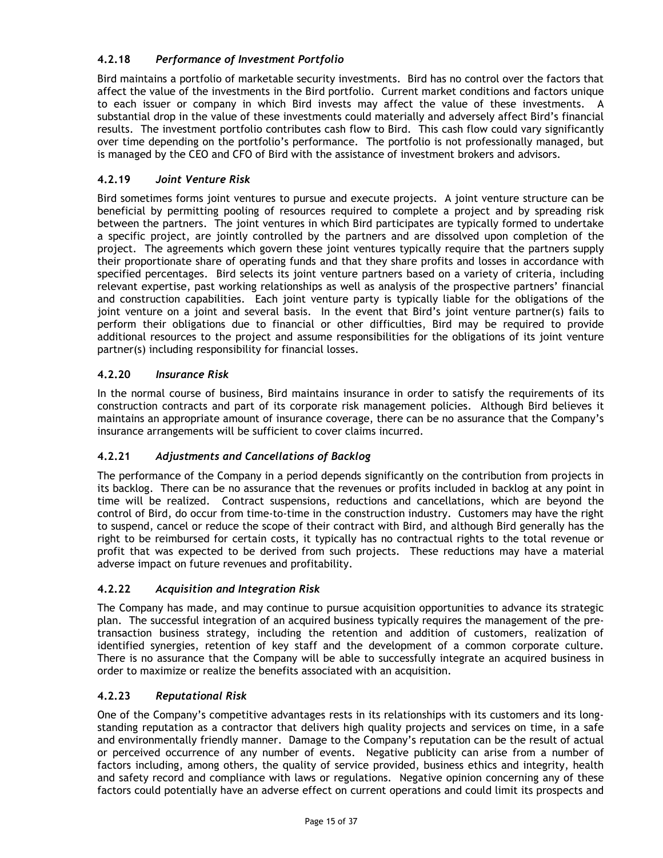# <span id="page-14-0"></span>**4.2.18** *Performance of Investment Portfolio*

Bird maintains a portfolio of marketable security investments. Bird has no control over the factors that affect the value of the investments in the Bird portfolio. Current market conditions and factors unique to each issuer or company in which Bird invests may affect the value of these investments. A substantial drop in the value of these investments could materially and adversely affect Bird's financial results. The investment portfolio contributes cash flow to Bird. This cash flow could vary significantly over time depending on the portfolio's performance. The portfolio is not professionally managed, but is managed by the CEO and CFO of Bird with the assistance of investment brokers and advisors.

# <span id="page-14-1"></span>**4.2.19** *Joint Venture Risk*

Bird sometimes forms joint ventures to pursue and execute projects. A joint venture structure can be beneficial by permitting pooling of resources required to complete a project and by spreading risk between the partners. The joint ventures in which Bird participates are typically formed to undertake a specific project, are jointly controlled by the partners and are dissolved upon completion of the project. The agreements which govern these joint ventures typically require that the partners supply their proportionate share of operating funds and that they share profits and losses in accordance with specified percentages. Bird selects its joint venture partners based on a variety of criteria, including relevant expertise, past working relationships as well as analysis of the prospective partners' financial and construction capabilities. Each joint venture party is typically liable for the obligations of the joint venture on a joint and several basis. In the event that Bird's joint venture partner(s) fails to perform their obligations due to financial or other difficulties, Bird may be required to provide additional resources to the project and assume responsibilities for the obligations of its joint venture partner(s) including responsibility for financial losses.

# <span id="page-14-2"></span>**4.2.20** *Insurance Risk*

In the normal course of business, Bird maintains insurance in order to satisfy the requirements of its construction contracts and part of its corporate risk management policies. Although Bird believes it maintains an appropriate amount of insurance coverage, there can be no assurance that the Company's insurance arrangements will be sufficient to cover claims incurred.

# <span id="page-14-3"></span>**4.2.21** *Adjustments and Cancellations of Backlog*

The performance of the Company in a period depends significantly on the contribution from projects in its backlog. There can be no assurance that the revenues or profits included in backlog at any point in time will be realized. Contract suspensions, reductions and cancellations, which are beyond the control of Bird, do occur from time-to-time in the construction industry. Customers may have the right to suspend, cancel or reduce the scope of their contract with Bird, and although Bird generally has the right to be reimbursed for certain costs, it typically has no contractual rights to the total revenue or profit that was expected to be derived from such projects. These reductions may have a material adverse impact on future revenues and profitability.

# <span id="page-14-4"></span>**4.2.22** *Acquisition and Integration Risk*

The Company has made, and may continue to pursue acquisition opportunities to advance its strategic plan. The successful integration of an acquired business typically requires the management of the pretransaction business strategy, including the retention and addition of customers, realization of identified synergies, retention of key staff and the development of a common corporate culture. There is no assurance that the Company will be able to successfully integrate an acquired business in order to maximize or realize the benefits associated with an acquisition.

# <span id="page-14-5"></span>**4.2.23** *Reputational Risk*

One of the Company's competitive advantages rests in its relationships with its customers and its longstanding reputation as a contractor that delivers high quality projects and services on time, in a safe and environmentally friendly manner. Damage to the Company's reputation can be the result of actual or perceived occurrence of any number of events. Negative publicity can arise from a number of factors including, among others, the quality of service provided, business ethics and integrity, health and safety record and compliance with laws or regulations. Negative opinion concerning any of these factors could potentially have an adverse effect on current operations and could limit its prospects and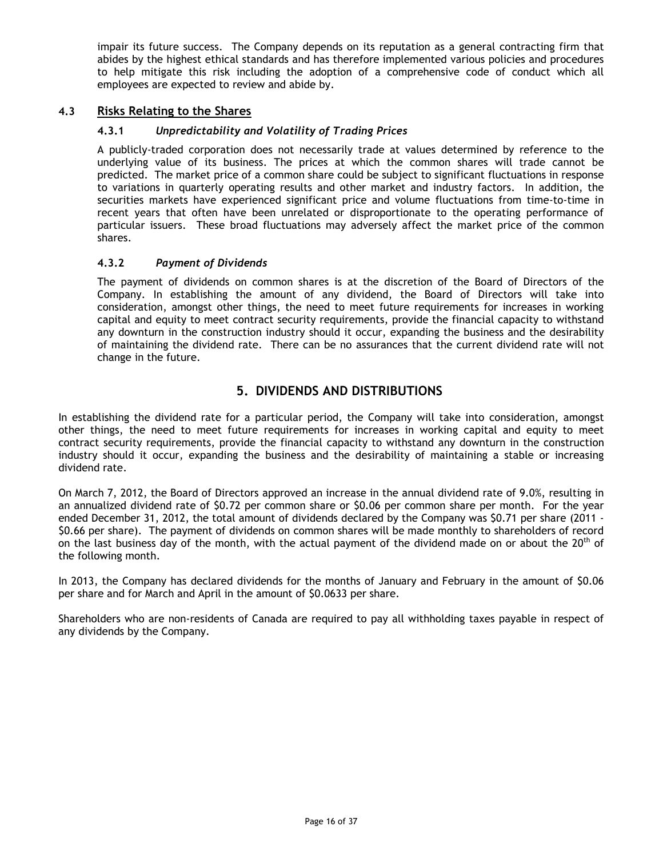impair its future success. The Company depends on its reputation as a general contracting firm that abides by the highest ethical standards and has therefore implemented various policies and procedures to help mitigate this risk including the adoption of a comprehensive code of conduct which all employees are expected to review and abide by.

# <span id="page-15-1"></span><span id="page-15-0"></span>**4.3 Risks Relating to the Shares**

# **4.3.1** *Unpredictability and Volatility of Trading Prices*

A publicly-traded corporation does not necessarily trade at values determined by reference to the underlying value of its business. The prices at which the common shares will trade cannot be predicted. The market price of a common share could be subject to significant fluctuations in response to variations in quarterly operating results and other market and industry factors. In addition, the securities markets have experienced significant price and volume fluctuations from time-to-time in recent years that often have been unrelated or disproportionate to the operating performance of particular issuers. These broad fluctuations may adversely affect the market price of the common shares.

# <span id="page-15-2"></span>**4.3.2** *Payment of Dividends*

The payment of dividends on common shares is at the discretion of the Board of Directors of the Company. In establishing the amount of any dividend, the Board of Directors will take into consideration, amongst other things, the need to meet future requirements for increases in working capital and equity to meet contract security requirements, provide the financial capacity to withstand any downturn in the construction industry should it occur, expanding the business and the desirability of maintaining the dividend rate. There can be no assurances that the current dividend rate will not change in the future.

# **5. DIVIDENDS AND DISTRIBUTIONS**

<span id="page-15-3"></span>In establishing the dividend rate for a particular period, the Company will take into consideration, amongst other things, the need to meet future requirements for increases in working capital and equity to meet contract security requirements, provide the financial capacity to withstand any downturn in the construction industry should it occur, expanding the business and the desirability of maintaining a stable or increasing dividend rate.

On March 7, 2012, the Board of Directors approved an increase in the annual dividend rate of 9.0%, resulting in an annualized dividend rate of \$0.72 per common share or \$0.06 per common share per month. For the year ended December 31, 2012, the total amount of dividends declared by the Company was \$0.71 per share (2011 - \$0.66 per share). The payment of dividends on common shares will be made monthly to shareholders of record on the last business day of the month, with the actual payment of the dividend made on or about the 20<sup>th</sup> of the following month.

In 2013, the Company has declared dividends for the months of January and February in the amount of \$0.06 per share and for March and April in the amount of \$0.0633 per share.

Shareholders who are non-residents of Canada are required to pay all withholding taxes payable in respect of any dividends by the Company.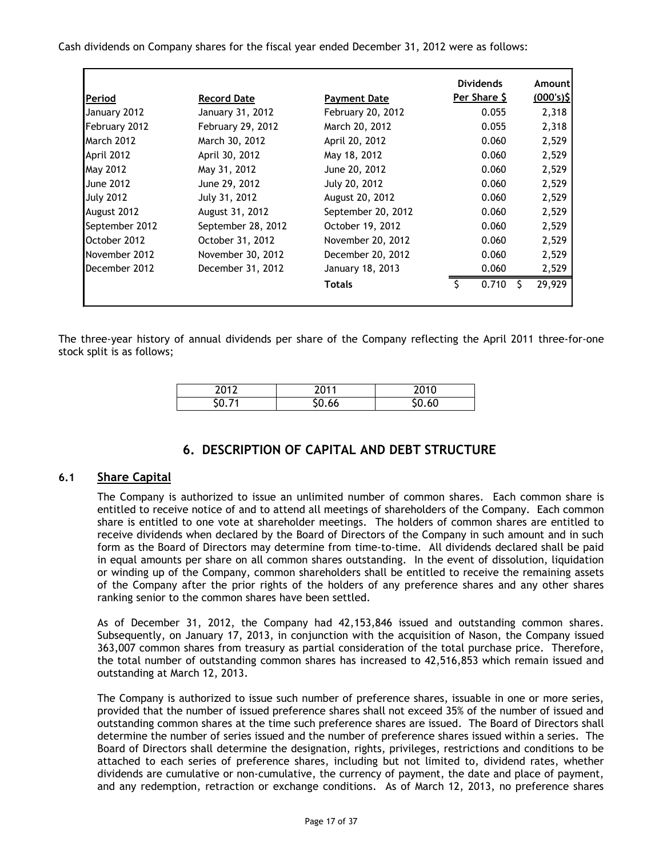Cash dividends on Company shares for the fiscal year ended December 31, 2012 were as follows:

|                  |                    |                     | <b>Dividends</b> | Amount       |
|------------------|--------------------|---------------------|------------------|--------------|
| Period           | <b>Record Date</b> | <b>Payment Date</b> | Per Share \$     | $(000's)$ \$ |
| January 2012     | January 31, 2012   | February 20, 2012   | 0.055            | 2,318        |
| February 2012    | February 29, 2012  | March 20, 2012      | 0.055            | 2,318        |
| March 2012       | March 30, 2012     | April 20, 2012      | 0.060            | 2,529        |
| April 2012       | April 30, 2012     | May 18, 2012        | 0.060            | 2,529        |
| May 2012         | May 31, 2012       | June 20, 2012       | 0.060            | 2,529        |
| <b>June 2012</b> | June 29, 2012      | July 20, 2012       | 0.060            | 2,529        |
| <b>July 2012</b> | July 31, 2012      | August 20, 2012     | 0.060            | 2,529        |
| August 2012      | August 31, 2012    | September 20, 2012  | 0.060            | 2,529        |
| September 2012   | September 28, 2012 | October 19, 2012    | 0.060            | 2,529        |
| October 2012     | October 31, 2012   | November 20, 2012   | 0.060            | 2,529        |
| November 2012    | November 30, 2012  | December 20, 2012   | 0.060            | 2,529        |
| December 2012    | December 31, 2012  | January 18, 2013    | 0.060            | 2,529        |
|                  |                    | <b>Totals</b>       | 0.710            | 29,929       |
|                  |                    |                     |                  |              |

The three-year history of annual dividends per share of the Company reflecting the April 2011 three-for-one stock split is as follows;

| ר 10 | 2011  | $\sim$ $\sim$ $\sim$ |
|------|-------|----------------------|
|      | .ს.ხხ | 06.(                 |

# **6. DESCRIPTION OF CAPITAL AND DEBT STRUCTURE**

# <span id="page-16-1"></span><span id="page-16-0"></span>**6.1 Share Capital**

The Company is authorized to issue an unlimited number of common shares. Each common share is entitled to receive notice of and to attend all meetings of shareholders of the Company. Each common share is entitled to one vote at shareholder meetings. The holders of common shares are entitled to receive dividends when declared by the Board of Directors of the Company in such amount and in such form as the Board of Directors may determine from time-to-time. All dividends declared shall be paid in equal amounts per share on all common shares outstanding. In the event of dissolution, liquidation or winding up of the Company, common shareholders shall be entitled to receive the remaining assets of the Company after the prior rights of the holders of any preference shares and any other shares ranking senior to the common shares have been settled.

As of December 31, 2012, the Company had 42,153,846 issued and outstanding common shares. Subsequently, on January 17, 2013, in conjunction with the acquisition of Nason, the Company issued 363,007 common shares from treasury as partial consideration of the total purchase price. Therefore, the total number of outstanding common shares has increased to 42,516,853 which remain issued and outstanding at March 12, 2013.

The Company is authorized to issue such number of preference shares, issuable in one or more series, provided that the number of issued preference shares shall not exceed 35% of the number of issued and outstanding common shares at the time such preference shares are issued. The Board of Directors shall determine the number of series issued and the number of preference shares issued within a series. The Board of Directors shall determine the designation, rights, privileges, restrictions and conditions to be attached to each series of preference shares, including but not limited to, dividend rates, whether dividends are cumulative or non-cumulative, the currency of payment, the date and place of payment, and any redemption, retraction or exchange conditions. As of March 12, 2013, no preference shares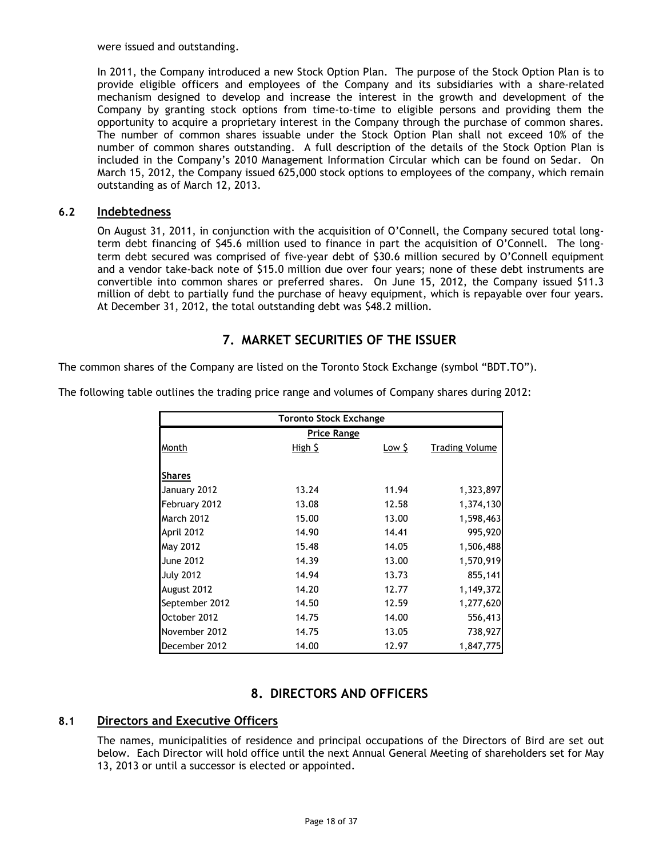were issued and outstanding.

In 2011, the Company introduced a new Stock Option Plan. The purpose of the Stock Option Plan is to provide eligible officers and employees of the Company and its subsidiaries with a share-related mechanism designed to develop and increase the interest in the growth and development of the Company by granting stock options from time-to-time to eligible persons and providing them the opportunity to acquire a proprietary interest in the Company through the purchase of common shares. The number of common shares issuable under the Stock Option Plan shall not exceed 10% of the number of common shares outstanding. A full description of the details of the Stock Option Plan is included in the Company's 2010 Management Information Circular which can be found on Sedar. On March 15, 2012, the Company issued 625,000 stock options to employees of the company, which remain outstanding as of March 12, 2013.

## <span id="page-17-0"></span>**6.2 Indebtedness**

On August 31, 2011, in conjunction with the acquisition of O'Connell, the Company secured total longterm debt financing of \$45.6 million used to finance in part the acquisition of O'Connell. The longterm debt secured was comprised of five-year debt of \$30.6 million secured by O'Connell equipment and a vendor take-back note of \$15.0 million due over four years; none of these debt instruments are convertible into common shares or preferred shares. On June 15, 2012, the Company issued \$11.3 million of debt to partially fund the purchase of heavy equipment, which is repayable over four years. At December 31, 2012, the total outstanding debt was \$48.2 million.

# **7. MARKET SECURITIES OF THE ISSUER**

<span id="page-17-1"></span>The common shares of the Company are listed on the Toronto Stock Exchange (symbol "BDT.TO").

The following table outlines the trading price range and volumes of Company shares during 2012:

| <b>Toronto Stock Exchange</b> |                    |                  |                       |  |
|-------------------------------|--------------------|------------------|-----------------------|--|
|                               | <b>Price Range</b> |                  |                       |  |
| Month                         | High 5             | Low <sub>2</sub> | <b>Trading Volume</b> |  |
|                               |                    |                  |                       |  |
| <b>Shares</b>                 |                    |                  |                       |  |
| January 2012                  | 13.24              | 11.94            | 1,323,897             |  |
| February 2012                 | 13.08              | 12.58            | 1,374,130             |  |
| <b>March 2012</b>             | 15.00              | 13.00            | 1,598,463             |  |
| April 2012                    | 14.90              | 14.41            | 995,920               |  |
| May 2012                      | 15.48              | 14.05            | 1,506,488             |  |
| <b>June 2012</b>              | 14.39              | 13.00            | 1,570,919             |  |
| <b>July 2012</b>              | 14.94              | 13.73            | 855,141               |  |
| August 2012                   | 14.20              | 12.77            | 1,149,372             |  |
| September 2012                | 14.50              | 12.59            | 1,277,620             |  |
| October 2012                  | 14.75              | 14.00            | 556,413               |  |
| November 2012                 | 14.75              | 13.05            | 738,927               |  |
| December 2012                 | 14.00              | 12.97            | 1,847,775             |  |

# **8. DIRECTORS AND OFFICERS**

# <span id="page-17-3"></span><span id="page-17-2"></span>**8.1 Directors and Executive Officers**

The names, municipalities of residence and principal occupations of the Directors of Bird are set out below. Each Director will hold office until the next Annual General Meeting of shareholders set for May 13, 2013 or until a successor is elected or appointed.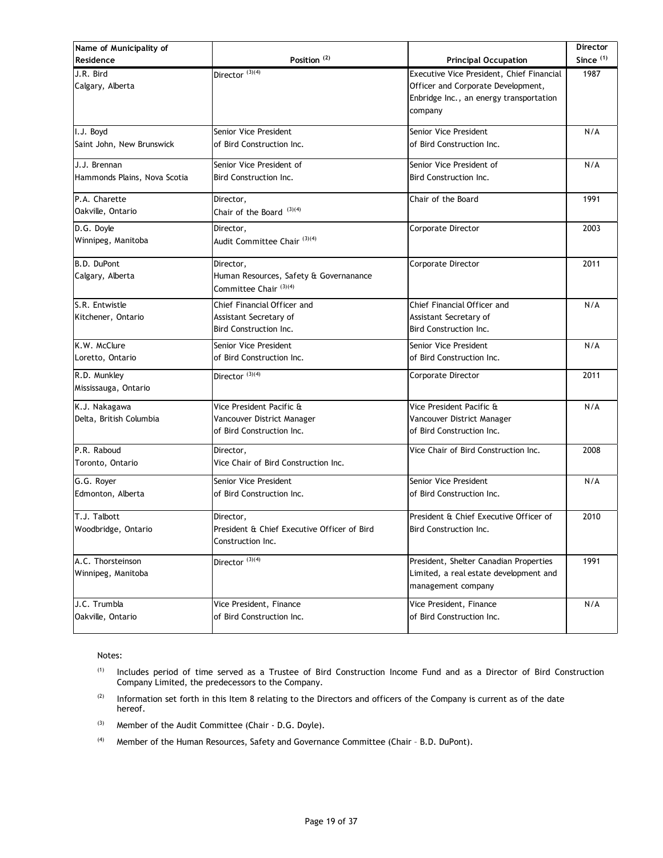| Name of Municipality of      |                                             |                                           | Director    |
|------------------------------|---------------------------------------------|-------------------------------------------|-------------|
| Residence                    | Position $(2)$                              | <b>Principal Occupation</b>               | Since $(1)$ |
| J.R. Bird                    | Director $(3)(4)$                           | Executive Vice President, Chief Financial | 1987        |
| Calgary, Alberta             |                                             | Officer and Corporate Development,        |             |
|                              |                                             | Enbridge Inc., an energy transportation   |             |
|                              |                                             | company                                   |             |
| I.J. Boyd                    | Senior Vice President                       | Senior Vice President                     | N/A         |
| Saint John, New Brunswick    | of Bird Construction Inc.                   | of Bird Construction Inc.                 |             |
| J.J. Brennan                 | Senior Vice President of                    | Senior Vice President of                  | N/A         |
| Hammonds Plains, Nova Scotia | Bird Construction Inc.                      | Bird Construction Inc.                    |             |
| P.A. Charette                | Director,                                   | Chair of the Board                        | 1991        |
| Oakville, Ontario            | Chair of the Board <sup>(3)(4)</sup>        |                                           |             |
| D.G. Doyle                   | Director,                                   | Corporate Director                        | 2003        |
| Winnipeg, Manitoba           | Audit Committee Chair <sup>(3)(4)</sup>     |                                           |             |
| B.D. DuPont                  | Director,                                   | Corporate Director                        | 2011        |
| Calgary, Alberta             | Human Resources, Safety & Governanance      |                                           |             |
|                              | Committee Chair (3)(4)                      |                                           |             |
| S.R. Entwistle               | Chief Financial Officer and                 | Chief Financial Officer and               | N/A         |
| Kitchener, Ontario           | Assistant Secretary of                      | Assistant Secretary of                    |             |
|                              | Bird Construction Inc.                      | Bird Construction Inc.                    |             |
| K.W. McClure                 | Senior Vice President                       | Senior Vice President                     | N/A         |
| Loretto, Ontario             | of Bird Construction Inc.                   | of Bird Construction Inc.                 |             |
| R.D. Munkley                 | Director $^{(3)(4)}$                        | Corporate Director                        | 2011        |
| Mississauga, Ontario         |                                             |                                           |             |
| K.J. Nakagawa                | Vice President Pacific &                    | Vice President Pacific &                  | N/A         |
| Delta, British Columbia      | Vancouver District Manager                  | Vancouver District Manager                |             |
|                              | of Bird Construction Inc.                   | of Bird Construction Inc.                 |             |
| P.R. Raboud                  | Director,                                   | Vice Chair of Bird Construction Inc.      | 2008        |
| Toronto, Ontario             | Vice Chair of Bird Construction Inc.        |                                           |             |
| G.G. Royer                   | Senior Vice President                       | Senior Vice President                     | N/A         |
| Edmonton, Alberta            | of Bird Construction Inc.                   | of Bird Construction Inc.                 |             |
| T.J. Talbott                 | Director,                                   | President & Chief Executive Officer of    | 2010        |
| Woodbridge, Ontario          | President & Chief Executive Officer of Bird | Bird Construction Inc.                    |             |
|                              | Construction Inc.                           |                                           |             |
| A.C. Thorsteinson            | Director $^{(3)(4)}$                        | President, Shelter Canadian Properties    | 1991        |
| Winnipeg, Manitoba           |                                             | Limited, a real estate development and    |             |
|                              |                                             | management company                        |             |
| J.C. Trumbla                 | Vice President, Finance                     | Vice President, Finance                   | N/A         |
| Oakville, Ontario            | of Bird Construction Inc.                   | of Bird Construction Inc.                 |             |
|                              |                                             |                                           |             |

Notes:

- (1) Includes period of time served as a Trustee of Bird Construction Income Fund and as a Director of Bird Construction Company Limited, the predecessors to the Company.
- $(2)$  Information set forth in this Item 8 relating to the Directors and officers of the Company is current as of the date hereof.
- (3) Member of the Audit Committee (Chair D.G. Doyle).
- (4) Member of the Human Resources, Safety and Governance Committee (Chair B.D. DuPont).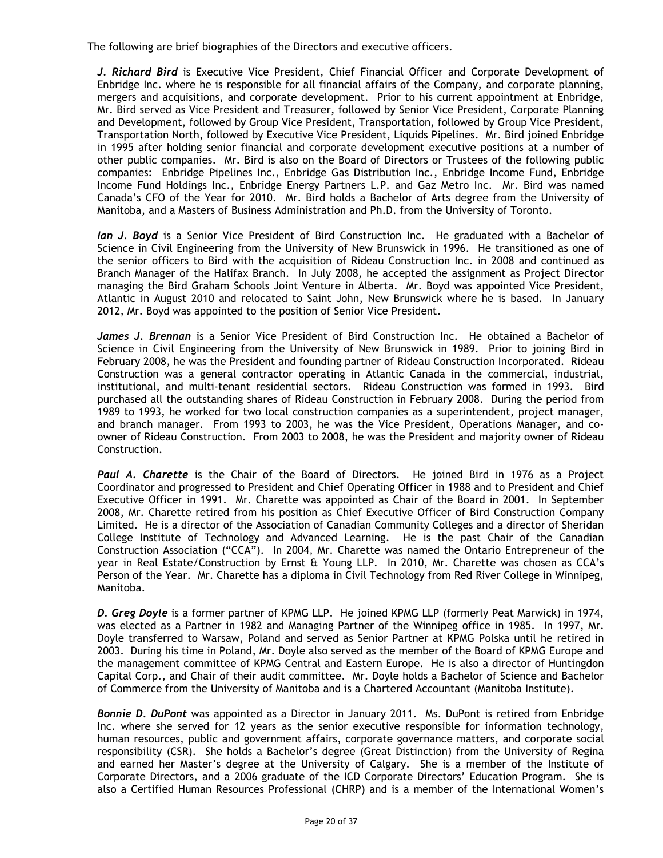The following are brief biographies of the Directors and executive officers.

*J. Richard Bird* is Executive Vice President, Chief Financial Officer and Corporate Development of Enbridge Inc. where he is responsible for all financial affairs of the Company, and corporate planning, mergers and acquisitions, and corporate development. Prior to his current appointment at Enbridge, Mr. Bird served as Vice President and Treasurer, followed by Senior Vice President, Corporate Planning and Development, followed by Group Vice President, Transportation, followed by Group Vice President, Transportation North, followed by Executive Vice President, Liquids Pipelines. Mr. Bird joined Enbridge in 1995 after holding senior financial and corporate development executive positions at a number of other public companies. Mr. Bird is also on the Board of Directors or Trustees of the following public companies: Enbridge Pipelines Inc., Enbridge Gas Distribution Inc., Enbridge Income Fund, Enbridge Income Fund Holdings Inc., Enbridge Energy Partners L.P. and Gaz Metro Inc. Mr. Bird was named Canada's CFO of the Year for 2010. Mr. Bird holds a Bachelor of Arts degree from the University of Manitoba, and a Masters of Business Administration and Ph.D. from the University of Toronto.

*Ian J. Boyd* is a Senior Vice President of Bird Construction Inc. He graduated with a Bachelor of Science in Civil Engineering from the University of New Brunswick in 1996. He transitioned as one of the senior officers to Bird with the acquisition of Rideau Construction Inc. in 2008 and continued as Branch Manager of the Halifax Branch. In July 2008, he accepted the assignment as Project Director managing the Bird Graham Schools Joint Venture in Alberta. Mr. Boyd was appointed Vice President, Atlantic in August 2010 and relocated to Saint John, New Brunswick where he is based. In January 2012, Mr. Boyd was appointed to the position of Senior Vice President.

*James J. Brennan* is a Senior Vice President of Bird Construction Inc. He obtained a Bachelor of Science in Civil Engineering from the University of New Brunswick in 1989. Prior to joining Bird in February 2008, he was the President and founding partner of Rideau Construction Incorporated. Rideau Construction was a general contractor operating in Atlantic Canada in the commercial, industrial, institutional, and multi-tenant residential sectors. Rideau Construction was formed in 1993. Bird purchased all the outstanding shares of Rideau Construction in February 2008. During the period from 1989 to 1993, he worked for two local construction companies as a superintendent, project manager, and branch manager. From 1993 to 2003, he was the Vice President, Operations Manager, and coowner of Rideau Construction. From 2003 to 2008, he was the President and majority owner of Rideau Construction.

*Paul A. Charette* is the Chair of the Board of Directors. He joined Bird in 1976 as a Project Coordinator and progressed to President and Chief Operating Officer in 1988 and to President and Chief Executive Officer in 1991. Mr. Charette was appointed as Chair of the Board in 2001. In September 2008, Mr. Charette retired from his position as Chief Executive Officer of Bird Construction Company Limited. He is a director of the Association of Canadian Community Colleges and a director of Sheridan College Institute of Technology and Advanced Learning. He is the past Chair of the Canadian Construction Association ("CCA"). In 2004, Mr. Charette was named the Ontario Entrepreneur of the year in Real Estate/Construction by Ernst & Young LLP. In 2010, Mr. Charette was chosen as CCA's Person of the Year. Mr. Charette has a diploma in Civil Technology from Red River College in Winnipeg, Manitoba.

*D. Greg Doyle* is a former partner of KPMG LLP. He joined KPMG LLP (formerly Peat Marwick) in 1974, was elected as a Partner in 1982 and Managing Partner of the Winnipeg office in 1985. In 1997, Mr. Doyle transferred to Warsaw, Poland and served as Senior Partner at KPMG Polska until he retired in 2003. During his time in Poland, Mr. Doyle also served as the member of the Board of KPMG Europe and the management committee of KPMG Central and Eastern Europe. He is also a director of Huntingdon Capital Corp., and Chair of their audit committee. Mr. Doyle holds a Bachelor of Science and Bachelor of Commerce from the University of Manitoba and is a Chartered Accountant (Manitoba Institute).

*Bonnie D. DuPont* was appointed as a Director in January 2011. Ms. DuPont is retired from Enbridge Inc. where she served for 12 years as the senior executive responsible for information technology, human resources, public and government affairs, corporate governance matters, and corporate social responsibility (CSR). She holds a Bachelor's degree (Great Distinction) from the University of Regina and earned her Master's degree at the University of Calgary. She is a member of the Institute of Corporate Directors, and a 2006 graduate of the ICD Corporate Directors' Education Program. She is also a Certified Human Resources Professional (CHRP) and is a member of the International Women's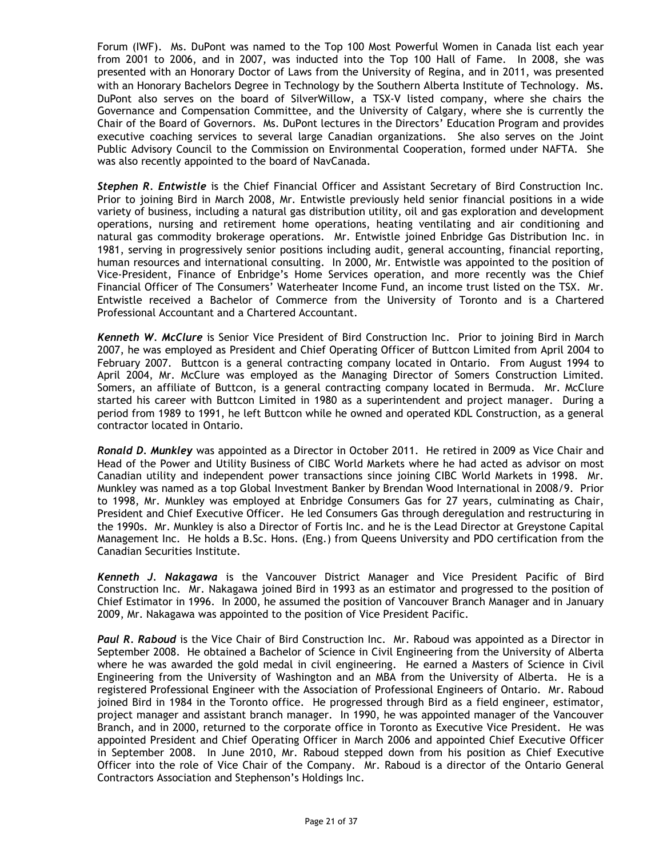Forum (IWF). Ms. DuPont was named to the Top 100 Most Powerful Women in Canada list each year from 2001 to 2006, and in 2007, was inducted into the Top 100 Hall of Fame. In 2008, she was presented with an Honorary Doctor of Laws from the University of Regina, and in 2011, was presented with an Honorary Bachelors Degree in Technology by the Southern Alberta Institute of Technology. Ms. DuPont also serves on the board of SilverWillow, a TSX-V listed company, where she chairs the Governance and Compensation Committee, and the University of Calgary, where she is currently the Chair of the Board of Governors. Ms. DuPont lectures in the Directors' Education Program and provides executive coaching services to several large Canadian organizations. She also serves on the Joint Public Advisory Council to the Commission on Environmental Cooperation, formed under NAFTA. She was also recently appointed to the board of NavCanada.

*Stephen R. Entwistle* is the Chief Financial Officer and Assistant Secretary of Bird Construction Inc. Prior to joining Bird in March 2008, Mr. Entwistle previously held senior financial positions in a wide variety of business, including a natural gas distribution utility, oil and gas exploration and development operations, nursing and retirement home operations, heating ventilating and air conditioning and natural gas commodity brokerage operations. Mr. Entwistle joined Enbridge Gas Distribution Inc. in 1981, serving in progressively senior positions including audit, general accounting, financial reporting, human resources and international consulting. In 2000, Mr. Entwistle was appointed to the position of Vice-President, Finance of Enbridge's Home Services operation, and more recently was the Chief Financial Officer of The Consumers' Waterheater Income Fund, an income trust listed on the TSX. Mr. Entwistle received a Bachelor of Commerce from the University of Toronto and is a Chartered Professional Accountant and a Chartered Accountant.

*Kenneth W. McClure* is Senior Vice President of Bird Construction Inc. Prior to joining Bird in March 2007, he was employed as President and Chief Operating Officer of Buttcon Limited from April 2004 to February 2007. Buttcon is a general contracting company located in Ontario. From August 1994 to April 2004, Mr. McClure was employed as the Managing Director of Somers Construction Limited. Somers, an affiliate of Buttcon, is a general contracting company located in Bermuda. Mr. McClure started his career with Buttcon Limited in 1980 as a superintendent and project manager. During a period from 1989 to 1991, he left Buttcon while he owned and operated KDL Construction, as a general contractor located in Ontario.

*Ronald D. Munkley* was appointed as a Director in October 2011. He retired in 2009 as Vice Chair and Head of the Power and Utility Business of CIBC World Markets where he had acted as advisor on most Canadian utility and independent power transactions since joining CIBC World Markets in 1998. Mr. Munkley was named as a top Global Investment Banker by Brendan Wood International in 2008/9. Prior to 1998, Mr. Munkley was employed at Enbridge Consumers Gas for 27 years, culminating as Chair, President and Chief Executive Officer. He led Consumers Gas through deregulation and restructuring in the 1990s. Mr. Munkley is also a Director of Fortis Inc. and he is the Lead Director at Greystone Capital Management Inc. He holds a B.Sc. Hons. (Eng.) from Queens University and PDO certification from the Canadian Securities Institute.

*Kenneth J. Nakagawa* is the Vancouver District Manager and Vice President Pacific of Bird Construction Inc. Mr. Nakagawa joined Bird in 1993 as an estimator and progressed to the position of Chief Estimator in 1996. In 2000, he assumed the position of Vancouver Branch Manager and in January 2009, Mr. Nakagawa was appointed to the position of Vice President Pacific.

*Paul R. Raboud* is the Vice Chair of Bird Construction Inc. Mr. Raboud was appointed as a Director in September 2008. He obtained a Bachelor of Science in Civil Engineering from the University of Alberta where he was awarded the gold medal in civil engineering. He earned a Masters of Science in Civil Engineering from the University of Washington and an MBA from the University of Alberta. He is a registered Professional Engineer with the Association of Professional Engineers of Ontario. Mr. Raboud joined Bird in 1984 in the Toronto office. He progressed through Bird as a field engineer, estimator, project manager and assistant branch manager. In 1990, he was appointed manager of the Vancouver Branch, and in 2000, returned to the corporate office in Toronto as Executive Vice President. He was appointed President and Chief Operating Officer in March 2006 and appointed Chief Executive Officer in September 2008. In June 2010, Mr. Raboud stepped down from his position as Chief Executive Officer into the role of Vice Chair of the Company. Mr. Raboud is a director of the Ontario General Contractors Association and Stephenson's Holdings Inc.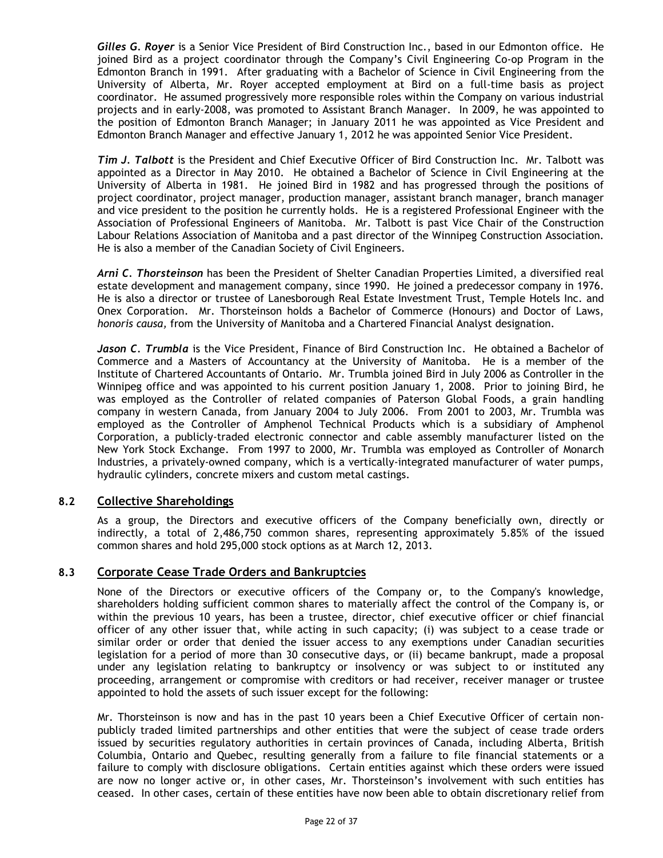*Gilles G. Royer* is a Senior Vice President of Bird Construction Inc., based in our Edmonton office. He joined Bird as a project coordinator through the Company's Civil Engineering Co-op Program in the Edmonton Branch in 1991. After graduating with a Bachelor of Science in Civil Engineering from the University of Alberta, Mr. Royer accepted employment at Bird on a full-time basis as project coordinator. He assumed progressively more responsible roles within the Company on various industrial projects and in early-2008, was promoted to Assistant Branch Manager. In 2009, he was appointed to the position of Edmonton Branch Manager; in January 2011 he was appointed as Vice President and Edmonton Branch Manager and effective January 1, 2012 he was appointed Senior Vice President.

*Tim J. Talbott* is the President and Chief Executive Officer of Bird Construction Inc. Mr. Talbott was appointed as a Director in May 2010. He obtained a Bachelor of Science in Civil Engineering at the University of Alberta in 1981. He joined Bird in 1982 and has progressed through the positions of project coordinator, project manager, production manager, assistant branch manager, branch manager and vice president to the position he currently holds. He is a registered Professional Engineer with the Association of Professional Engineers of Manitoba. Mr. Talbott is past Vice Chair of the Construction Labour Relations Association of Manitoba and a past director of the Winnipeg Construction Association. He is also a member of the Canadian Society of Civil Engineers.

*Arni C. Thorsteinson* has been the President of Shelter Canadian Properties Limited, a diversified real estate development and management company, since 1990. He joined a predecessor company in 1976. He is also a director or trustee of Lanesborough Real Estate Investment Trust, Temple Hotels Inc. and Onex Corporation. Mr. Thorsteinson holds a Bachelor of Commerce (Honours) and Doctor of Laws, *honoris causa,* from the University of Manitoba and a Chartered Financial Analyst designation.

*Jason C. Trumbla* is the Vice President, Finance of Bird Construction Inc. He obtained a Bachelor of Commerce and a Masters of Accountancy at the University of Manitoba. He is a member of the Institute of Chartered Accountants of Ontario. Mr. Trumbla joined Bird in July 2006 as Controller in the Winnipeg office and was appointed to his current position January 1, 2008. Prior to joining Bird, he was employed as the Controller of related companies of Paterson Global Foods, a grain handling company in western Canada, from January 2004 to July 2006. From 2001 to 2003, Mr. Trumbla was employed as the Controller of Amphenol Technical Products which is a subsidiary of Amphenol Corporation, a publicly-traded electronic connector and cable assembly manufacturer listed on the New York Stock Exchange. From 1997 to 2000, Mr. Trumbla was employed as Controller of Monarch Industries, a privately-owned company, which is a vertically-integrated manufacturer of water pumps, hydraulic cylinders, concrete mixers and custom metal castings.

# <span id="page-21-0"></span>**8.2 Collective Shareholdings**

As a group, the Directors and executive officers of the Company beneficially own, directly or indirectly, a total of 2,486,750 common shares, representing approximately 5.85% of the issued common shares and hold 295,000 stock options as at March 12, 2013.

#### <span id="page-21-1"></span>**8.3 Corporate Cease Trade Orders and Bankruptcies**

None of the Directors or executive officers of the Company or, to the Company's knowledge, shareholders holding sufficient common shares to materially affect the control of the Company is, or within the previous 10 years, has been a trustee, director, chief executive officer or chief financial officer of any other issuer that, while acting in such capacity; (i) was subject to a cease trade or similar order or order that denied the issuer access to any exemptions under Canadian securities legislation for a period of more than 30 consecutive days, or (ii) became bankrupt, made a proposal under any legislation relating to bankruptcy or insolvency or was subject to or instituted any proceeding, arrangement or compromise with creditors or had receiver, receiver manager or trustee appointed to hold the assets of such issuer except for the following:

Mr. Thorsteinson is now and has in the past 10 years been a Chief Executive Officer of certain nonpublicly traded limited partnerships and other entities that were the subject of cease trade orders issued by securities regulatory authorities in certain provinces of Canada, including Alberta, British Columbia, Ontario and Quebec, resulting generally from a failure to file financial statements or a failure to comply with disclosure obligations. Certain entities against which these orders were issued are now no longer active or, in other cases, Mr. Thorsteinson's involvement with such entities has ceased. In other cases, certain of these entities have now been able to obtain discretionary relief from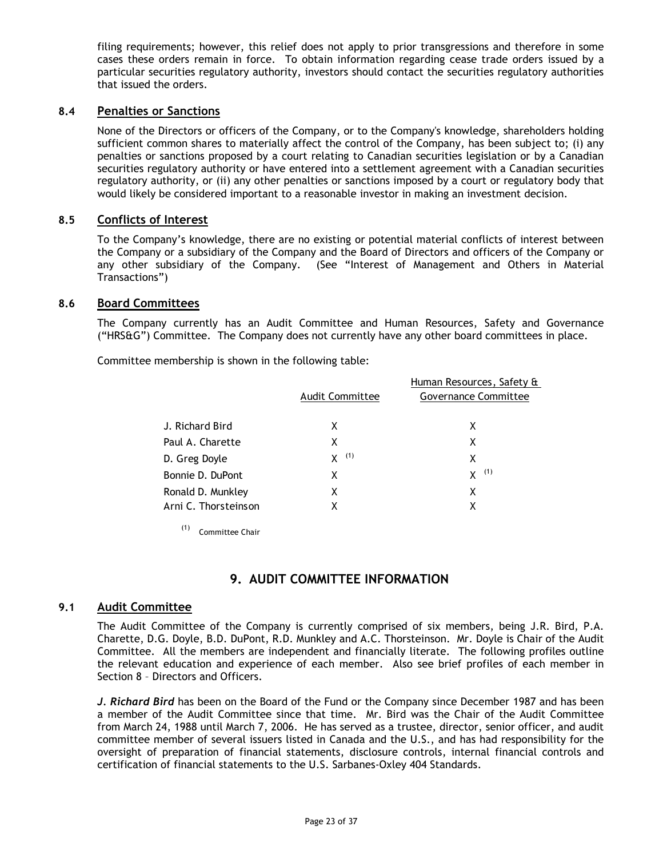filing requirements; however, this relief does not apply to prior transgressions and therefore in some cases these orders remain in force. To obtain information regarding cease trade orders issued by a particular securities regulatory authority, investors should contact the securities regulatory authorities that issued the orders.

# <span id="page-22-0"></span>**8.4 Penalties or Sanctions**

None of the Directors or officers of the Company, or to the Company's knowledge, shareholders holding sufficient common shares to materially affect the control of the Company, has been subject to; (i) any penalties or sanctions proposed by a court relating to Canadian securities legislation or by a Canadian securities regulatory authority or have entered into a settlement agreement with a Canadian securities regulatory authority, or (ii) any other penalties or sanctions imposed by a court or regulatory body that would likely be considered important to a reasonable investor in making an investment decision.

## <span id="page-22-1"></span>**8.5 Conflicts of Interest**

To the Company's knowledge, there are no existing or potential material conflicts of interest between the Company or a subsidiary of the Company and the Board of Directors and officers of the Company or any other subsidiary of the Company. (See "Interest of Management and Others in Material Transactions")

## <span id="page-22-2"></span>**8.6 Board Committees**

The Company currently has an Audit Committee and Human Resources, Safety and Governance ("HRS&G") Committee. The Company does not currently have any other board committees in place.

Committee membership is shown in the following table:

|                        | Human Resources, Safety & |
|------------------------|---------------------------|
| <b>Audit Committee</b> | Governance Committee      |
|                        |                           |
| X                      | х                         |
| х                      | x                         |
| (1)<br>X.              | х                         |
| х                      | (1)<br>X.                 |
| χ                      | х                         |
| х                      | χ                         |
|                        |                           |

(1) Committee Chair

# **9. AUDIT COMMITTEE INFORMATION**

# <span id="page-22-4"></span><span id="page-22-3"></span>**9.1 Audit Committee**

The Audit Committee of the Company is currently comprised of six members, being J.R. Bird, P.A. Charette, D.G. Doyle, B.D. DuPont, R.D. Munkley and A.C. Thorsteinson. Mr. Doyle is Chair of the Audit Committee. All the members are independent and financially literate. The following profiles outline the relevant education and experience of each member. Also see brief profiles of each member in Section 8 – Directors and Officers.

*J. Richard Bird* has been on the Board of the Fund or the Company since December 1987 and has been a member of the Audit Committee since that time. Mr. Bird was the Chair of the Audit Committee from March 24, 1988 until March 7, 2006. He has served as a trustee, director, senior officer, and audit committee member of several issuers listed in Canada and the U.S., and has had responsibility for the oversight of preparation of financial statements, disclosure controls, internal financial controls and certification of financial statements to the U.S. Sarbanes-Oxley 404 Standards.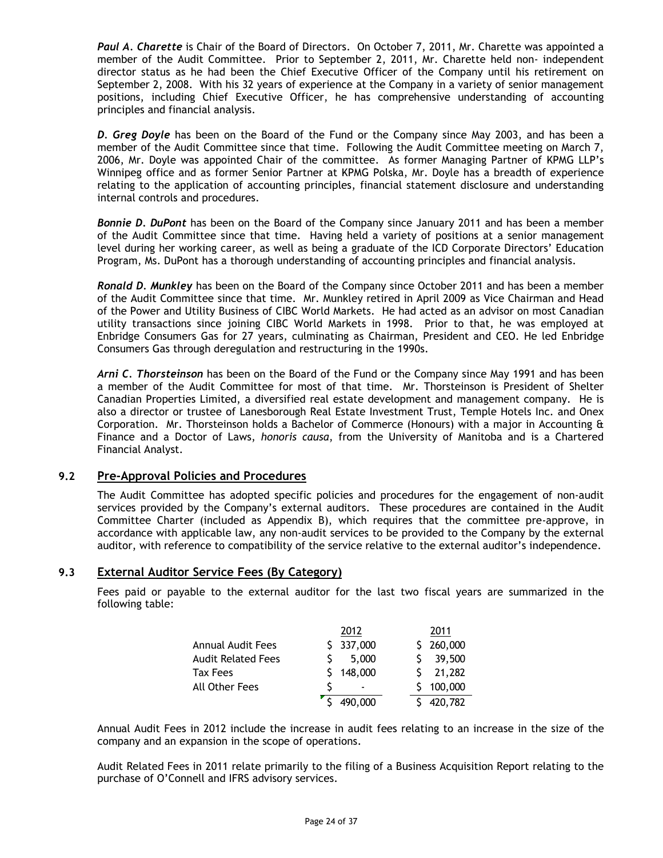*Paul A. Charette* is Chair of the Board of Directors. On October 7, 2011, Mr. Charette was appointed a member of the Audit Committee. Prior to September 2, 2011, Mr. Charette held non- independent director status as he had been the Chief Executive Officer of the Company until his retirement on September 2, 2008. With his 32 years of experience at the Company in a variety of senior management positions, including Chief Executive Officer, he has comprehensive understanding of accounting principles and financial analysis.

*D. Greg Doyle* has been on the Board of the Fund or the Company since May 2003, and has been a member of the Audit Committee since that time. Following the Audit Committee meeting on March 7, 2006, Mr. Doyle was appointed Chair of the committee. As former Managing Partner of KPMG LLP's Winnipeg office and as former Senior Partner at KPMG Polska, Mr. Doyle has a breadth of experience relating to the application of accounting principles, financial statement disclosure and understanding internal controls and procedures.

*Bonnie D. DuPont* has been on the Board of the Company since January 2011 and has been a member of the Audit Committee since that time. Having held a variety of positions at a senior management level during her working career, as well as being a graduate of the ICD Corporate Directors' Education Program, Ms. DuPont has a thorough understanding of accounting principles and financial analysis.

*Ronald D. Munkley* has been on the Board of the Company since October 2011 and has been a member of the Audit Committee since that time. Mr. Munkley retired in April 2009 as Vice Chairman and Head of the Power and Utility Business of CIBC World Markets. He had acted as an advisor on most Canadian utility transactions since joining CIBC World Markets in 1998. Prior to that, he was employed at Enbridge Consumers Gas for 27 years, culminating as Chairman, President and CEO. He led Enbridge Consumers Gas through deregulation and restructuring in the 1990s.

*Arni C. Thorsteinson* has been on the Board of the Fund or the Company since May 1991 and has been a member of the Audit Committee for most of that time. Mr. Thorsteinson is President of Shelter Canadian Properties Limited, a diversified real estate development and management company. He is also a director or trustee of Lanesborough Real Estate Investment Trust, Temple Hotels Inc. and Onex Corporation. Mr. Thorsteinson holds a Bachelor of Commerce (Honours) with a major in Accounting & Finance and a Doctor of Laws, *honoris causa*, from the University of Manitoba and is a Chartered Financial Analyst.

# <span id="page-23-0"></span>**9.2 Pre-Approval Policies and Procedures**

The Audit Committee has adopted specific policies and procedures for the engagement of non-audit services provided by the Company's external auditors. These procedures are contained in the Audit Committee Charter (included as Appendix B), which requires that the committee pre-approve, in accordance with applicable law, any non-audit services to be provided to the Company by the external auditor, with reference to compatibility of the service relative to the external auditor's independence.

# <span id="page-23-1"></span>**9.3 External Auditor Service Fees (By Category)**

Fees paid or payable to the external auditor for the last two fiscal years are summarized in the following table:

|                    | 2012                     | 2011      |  |
|--------------------|--------------------------|-----------|--|
| Annual Audit Fees  | \$337,000                | \$260,000 |  |
| Audit Related Fees | 5,000                    | 39,500    |  |
| Tax Fees           | \$148,000                | 21,282    |  |
| All Other Fees     | $\overline{\phantom{0}}$ | \$100,000 |  |
|                    | 490,000                  | 420,782   |  |

Annual Audit Fees in 2012 include the increase in audit fees relating to an increase in the size of the company and an expansion in the scope of operations.

Audit Related Fees in 2011 relate primarily to the filing of a Business Acquisition Report relating to the purchase of O'Connell and IFRS advisory services.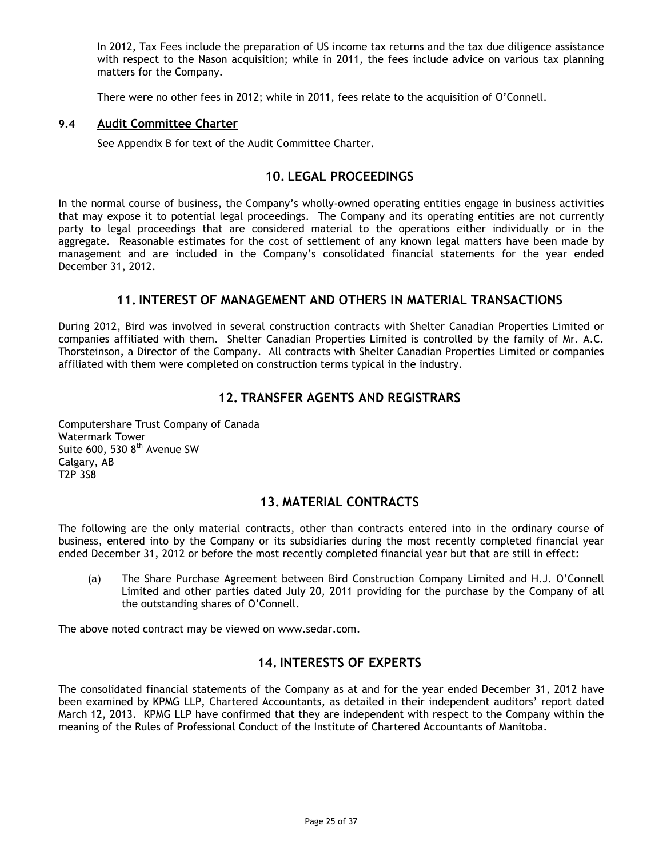In 2012, Tax Fees include the preparation of US income tax returns and the tax due diligence assistance with respect to the Nason acquisition; while in 2011, the fees include advice on various tax planning matters for the Company.

There were no other fees in 2012; while in 2011, fees relate to the acquisition of O'Connell.

### <span id="page-24-1"></span><span id="page-24-0"></span>**9.4 Audit Committee Charter**

See Appendix B for text of the Audit Committee Charter.

# **10. LEGAL PROCEEDINGS**

In the normal course of business, the Company's wholly-owned operating entities engage in business activities that may expose it to potential legal proceedings. The Company and its operating entities are not currently party to legal proceedings that are considered material to the operations either individually or in the aggregate. Reasonable estimates for the cost of settlement of any known legal matters have been made by management and are included in the Company's consolidated financial statements for the year ended December 31, 2012.

# **11. INTEREST OF MANAGEMENT AND OTHERS IN MATERIAL TRANSACTIONS**

<span id="page-24-2"></span>During 2012, Bird was involved in several construction contracts with Shelter Canadian Properties Limited or companies affiliated with them. Shelter Canadian Properties Limited is controlled by the family of Mr. A.C. Thorsteinson, a Director of the Company. All contracts with Shelter Canadian Properties Limited or companies affiliated with them were completed on construction terms typical in the industry.

# **12. TRANSFER AGENTS AND REGISTRARS**

<span id="page-24-3"></span>Computershare Trust Company of Canada Watermark Tower Suite  $600, 5308$ <sup>th</sup> Avenue SW Calgary, AB T2P 3S8

# **13. MATERIAL CONTRACTS**

<span id="page-24-4"></span>The following are the only material contracts, other than contracts entered into in the ordinary course of business, entered into by the Company or its subsidiaries during the most recently completed financial year ended December 31, 2012 or before the most recently completed financial year but that are still in effect:

(a) The Share Purchase Agreement between Bird Construction Company Limited and H.J. O'Connell Limited and other parties dated July 20, 2011 providing for the purchase by the Company of all the outstanding shares of O'Connell.

<span id="page-24-5"></span>The above noted contract may be viewed on www.sedar.com.

# **14. INTERESTS OF EXPERTS**

The consolidated financial statements of the Company as at and for the year ended December 31, 2012 have been examined by KPMG LLP, Chartered Accountants, as detailed in their independent auditors' report dated March 12, 2013. KPMG LLP have confirmed that they are independent with respect to the Company within the meaning of the Rules of Professional Conduct of the Institute of Chartered Accountants of Manitoba.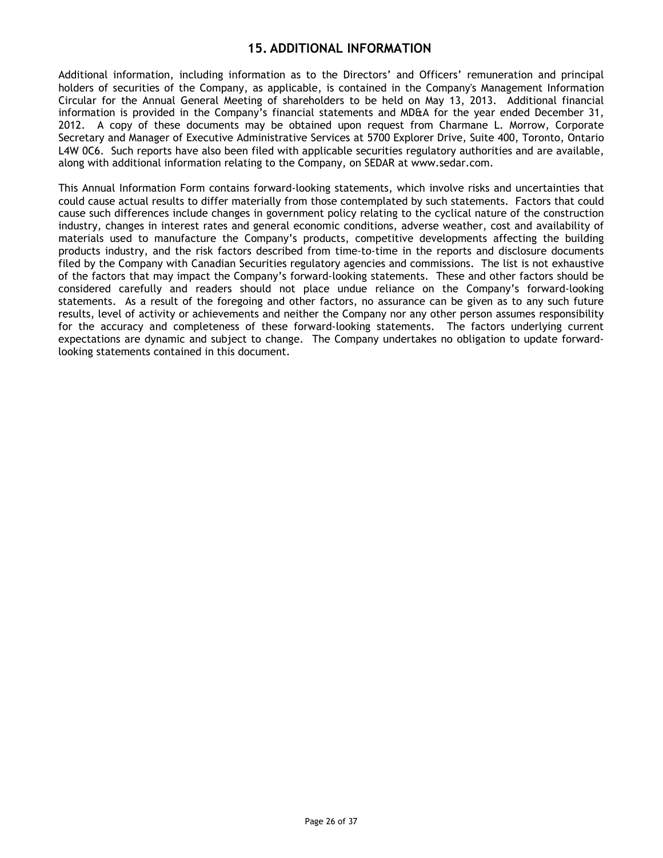# **15. ADDITIONAL INFORMATION**

<span id="page-25-0"></span>Additional information, including information as to the Directors' and Officers' remuneration and principal holders of securities of the Company, as applicable, is contained in the Company's Management Information Circular for the Annual General Meeting of shareholders to be held on May 13, 2013. Additional financial information is provided in the Company's financial statements and MD&A for the year ended December 31, 2012. A copy of these documents may be obtained upon request from Charmane L. Morrow, Corporate Secretary and Manager of Executive Administrative Services at 5700 Explorer Drive, Suite 400, Toronto, Ontario L4W 0C6. Such reports have also been filed with applicable securities regulatory authorities and are available, along with additional information relating to the Company, on SEDAR at www.sedar.com.

This Annual Information Form contains forward-looking statements, which involve risks and uncertainties that could cause actual results to differ materially from those contemplated by such statements. Factors that could cause such differences include changes in government policy relating to the cyclical nature of the construction industry, changes in interest rates and general economic conditions, adverse weather, cost and availability of materials used to manufacture the Company's products, competitive developments affecting the building products industry, and the risk factors described from time-to-time in the reports and disclosure documents filed by the Company with Canadian Securities regulatory agencies and commissions. The list is not exhaustive of the factors that may impact the Company's forward-looking statements. These and other factors should be considered carefully and readers should not place undue reliance on the Company's forward-looking statements. As a result of the foregoing and other factors, no assurance can be given as to any such future results, level of activity or achievements and neither the Company nor any other person assumes responsibility for the accuracy and completeness of these forward-looking statements. The factors underlying current expectations are dynamic and subject to change. The Company undertakes no obligation to update forwardlooking statements contained in this document.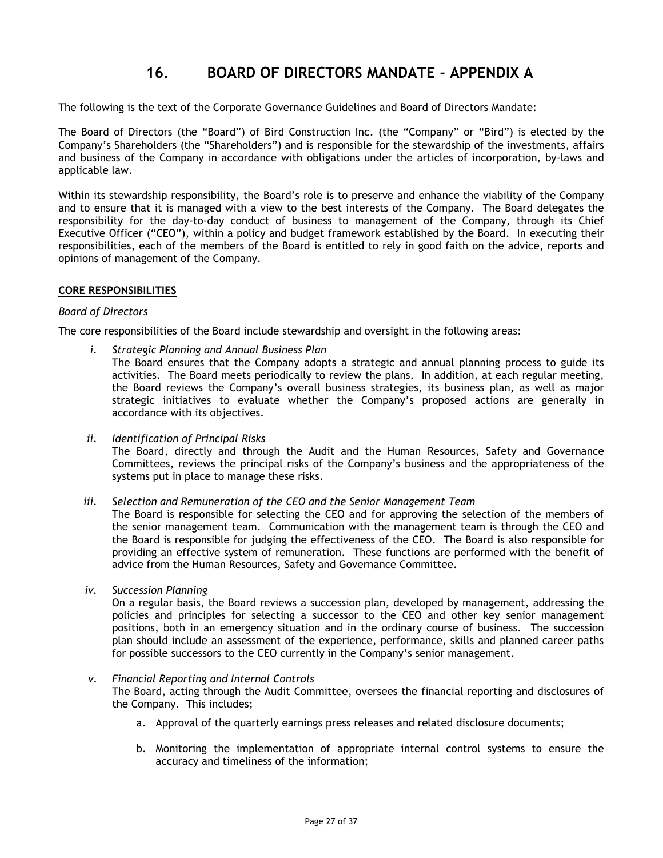# **16. BOARD OF DIRECTORS MANDATE - APPENDIX A**

<span id="page-26-0"></span>The following is the text of the Corporate Governance Guidelines and Board of Directors Mandate:

The Board of Directors (the "Board") of Bird Construction Inc. (the "Company" or "Bird") is elected by the Company's Shareholders (the "Shareholders") and is responsible for the stewardship of the investments, affairs and business of the Company in accordance with obligations under the articles of incorporation, by-laws and applicable law.

Within its stewardship responsibility, the Board's role is to preserve and enhance the viability of the Company and to ensure that it is managed with a view to the best interests of the Company. The Board delegates the responsibility for the day-to-day conduct of business to management of the Company, through its Chief Executive Officer ("CEO"), within a policy and budget framework established by the Board. In executing their responsibilities, each of the members of the Board is entitled to rely in good faith on the advice, reports and opinions of management of the Company.

#### **CORE RESPONSIBILITIES**

#### *Board of Directors*

The core responsibilities of the Board include stewardship and oversight in the following areas:

- *i. Strategic Planning and Annual Business Plan* The Board ensures that the Company adopts a strategic and annual planning process to guide its activities. The Board meets periodically to review the plans. In addition, at each regular meeting, the Board reviews the Company's overall business strategies, its business plan, as well as major strategic initiatives to evaluate whether the Company's proposed actions are generally in accordance with its objectives.
- *ii. Identification of Principal Risks* The Board, directly and through the Audit and the Human Resources, Safety and Governance Committees, reviews the principal risks of the Company's business and the appropriateness of the systems put in place to manage these risks.

*iii. Selection and Remuneration of the CEO and the Senior Management Team*

The Board is responsible for selecting the CEO and for approving the selection of the members of the senior management team. Communication with the management team is through the CEO and the Board is responsible for judging the effectiveness of the CEO. The Board is also responsible for providing an effective system of remuneration. These functions are performed with the benefit of advice from the Human Resources, Safety and Governance Committee.

*iv. Succession Planning*

On a regular basis, the Board reviews a succession plan, developed by management, addressing the policies and principles for selecting a successor to the CEO and other key senior management positions, both in an emergency situation and in the ordinary course of business. The succession plan should include an assessment of the experience, performance, skills and planned career paths for possible successors to the CEO currently in the Company's senior management.

#### *v. Financial Reporting and Internal Controls*

The Board, acting through the Audit Committee, oversees the financial reporting and disclosures of the Company. This includes;

- a. Approval of the quarterly earnings press releases and related disclosure documents;
- b. Monitoring the implementation of appropriate internal control systems to ensure the accuracy and timeliness of the information;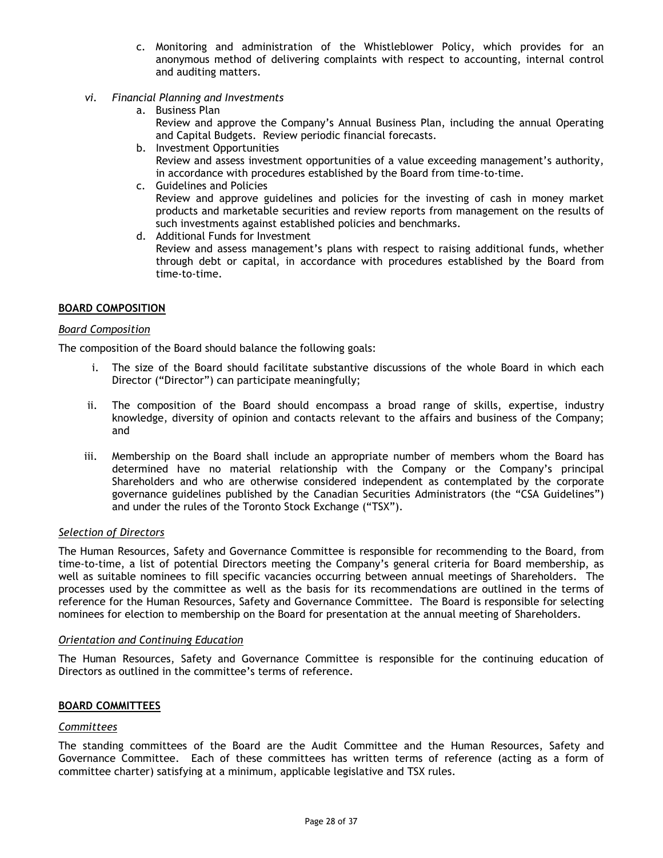- c. Monitoring and administration of the Whistleblower Policy, which provides for an anonymous method of delivering complaints with respect to accounting, internal control and auditing matters.
- *vi. Financial Planning and Investments*
	- a. Business Plan Review and approve the Company's Annual Business Plan, including the annual Operating and Capital Budgets. Review periodic financial forecasts.
	- b. Investment Opportunities Review and assess investment opportunities of a value exceeding management's authority, in accordance with procedures established by the Board from time-to-time.
	- c. Guidelines and Policies Review and approve guidelines and policies for the investing of cash in money market products and marketable securities and review reports from management on the results of such investments against established policies and benchmarks.
	- d. Additional Funds for Investment

Review and assess management's plans with respect to raising additional funds, whether through debt or capital, in accordance with procedures established by the Board from time-to-time.

# **BOARD COMPOSITION**

#### *Board Composition*

The composition of the Board should balance the following goals:

- i. The size of the Board should facilitate substantive discussions of the whole Board in which each Director ("Director") can participate meaningfully;
- ii. The composition of the Board should encompass a broad range of skills, expertise, industry knowledge, diversity of opinion and contacts relevant to the affairs and business of the Company; and
- iii. Membership on the Board shall include an appropriate number of members whom the Board has determined have no material relationship with the Company or the Company's principal Shareholders and who are otherwise considered independent as contemplated by the corporate governance guidelines published by the Canadian Securities Administrators (the "CSA Guidelines") and under the rules of the Toronto Stock Exchange ("TSX").

#### *Selection of Directors*

The Human Resources, Safety and Governance Committee is responsible for recommending to the Board, from time-to-time, a list of potential Directors meeting the Company's general criteria for Board membership, as well as suitable nominees to fill specific vacancies occurring between annual meetings of Shareholders. The processes used by the committee as well as the basis for its recommendations are outlined in the terms of reference for the Human Resources, Safety and Governance Committee. The Board is responsible for selecting nominees for election to membership on the Board for presentation at the annual meeting of Shareholders.

#### *Orientation and Continuing Education*

The Human Resources, Safety and Governance Committee is responsible for the continuing education of Directors as outlined in the committee's terms of reference.

# **BOARD COMMITTEES**

#### *Committees*

The standing committees of the Board are the Audit Committee and the Human Resources, Safety and Governance Committee. Each of these committees has written terms of reference (acting as a form of committee charter) satisfying at a minimum, applicable legislative and TSX rules.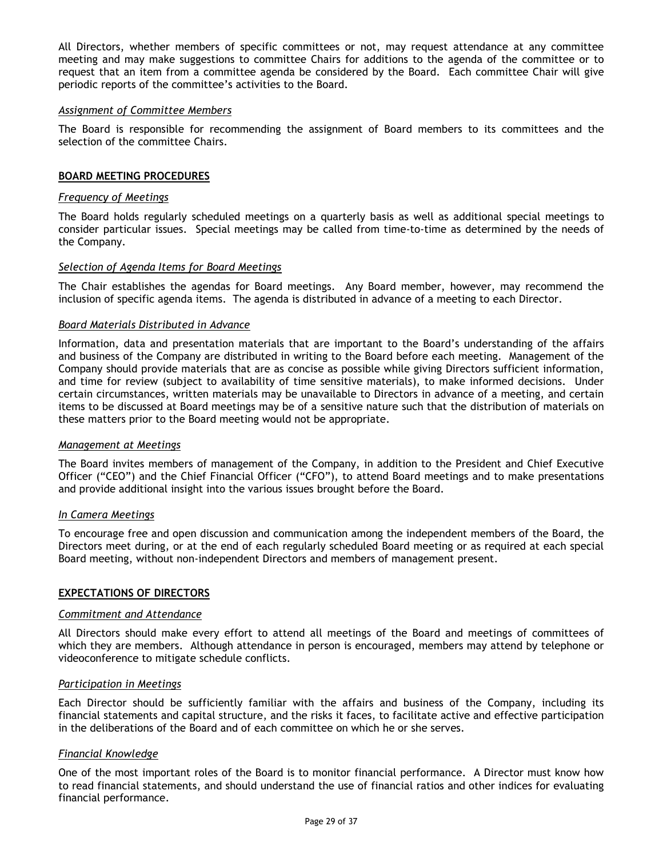All Directors, whether members of specific committees or not, may request attendance at any committee meeting and may make suggestions to committee Chairs for additions to the agenda of the committee or to request that an item from a committee agenda be considered by the Board. Each committee Chair will give periodic reports of the committee's activities to the Board.

#### *Assignment of Committee Members*

The Board is responsible for recommending the assignment of Board members to its committees and the selection of the committee Chairs.

#### **BOARD MEETING PROCEDURES**

#### *Frequency of Meetings*

The Board holds regularly scheduled meetings on a quarterly basis as well as additional special meetings to consider particular issues. Special meetings may be called from time-to-time as determined by the needs of the Company.

## *Selection of Agenda Items for Board Meetings*

The Chair establishes the agendas for Board meetings. Any Board member, however, may recommend the inclusion of specific agenda items. The agenda is distributed in advance of a meeting to each Director.

#### *Board Materials Distributed in Advance*

Information, data and presentation materials that are important to the Board's understanding of the affairs and business of the Company are distributed in writing to the Board before each meeting. Management of the Company should provide materials that are as concise as possible while giving Directors sufficient information, and time for review (subject to availability of time sensitive materials), to make informed decisions. Under certain circumstances, written materials may be unavailable to Directors in advance of a meeting, and certain items to be discussed at Board meetings may be of a sensitive nature such that the distribution of materials on these matters prior to the Board meeting would not be appropriate.

#### *Management at Meetings*

The Board invites members of management of the Company, in addition to the President and Chief Executive Officer ("CEO") and the Chief Financial Officer ("CFO"), to attend Board meetings and to make presentations and provide additional insight into the various issues brought before the Board.

#### *In Camera Meetings*

To encourage free and open discussion and communication among the independent members of the Board, the Directors meet during, or at the end of each regularly scheduled Board meeting or as required at each special Board meeting, without non-independent Directors and members of management present.

#### **EXPECTATIONS OF DIRECTORS**

#### *Commitment and Attendance*

All Directors should make every effort to attend all meetings of the Board and meetings of committees of which they are members. Although attendance in person is encouraged, members may attend by telephone or videoconference to mitigate schedule conflicts.

#### *Participation in Meetings*

Each Director should be sufficiently familiar with the affairs and business of the Company, including its financial statements and capital structure, and the risks it faces, to facilitate active and effective participation in the deliberations of the Board and of each committee on which he or she serves.

#### *Financial Knowledge*

One of the most important roles of the Board is to monitor financial performance. A Director must know how to read financial statements, and should understand the use of financial ratios and other indices for evaluating financial performance.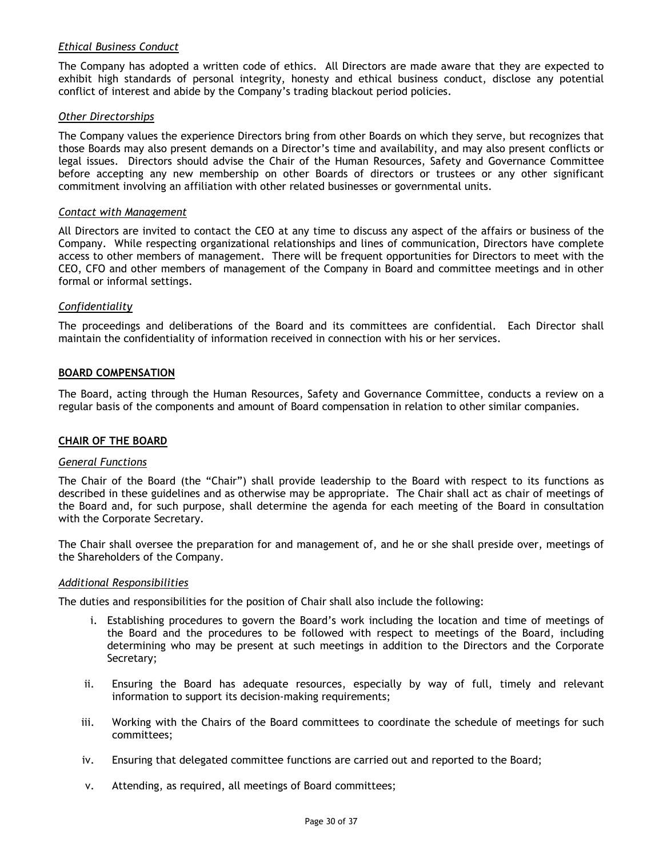# *Ethical Business Conduct*

The Company has adopted a written code of ethics. All Directors are made aware that they are expected to exhibit high standards of personal integrity, honesty and ethical business conduct, disclose any potential conflict of interest and abide by the Company's trading blackout period policies.

#### *Other Directorships*

The Company values the experience Directors bring from other Boards on which they serve, but recognizes that those Boards may also present demands on a Director's time and availability, and may also present conflicts or legal issues. Directors should advise the Chair of the Human Resources, Safety and Governance Committee before accepting any new membership on other Boards of directors or trustees or any other significant commitment involving an affiliation with other related businesses or governmental units.

#### *Contact with Management*

All Directors are invited to contact the CEO at any time to discuss any aspect of the affairs or business of the Company. While respecting organizational relationships and lines of communication, Directors have complete access to other members of management. There will be frequent opportunities for Directors to meet with the CEO, CFO and other members of management of the Company in Board and committee meetings and in other formal or informal settings.

#### *Confidentiality*

The proceedings and deliberations of the Board and its committees are confidential. Each Director shall maintain the confidentiality of information received in connection with his or her services.

#### **BOARD COMPENSATION**

The Board, acting through the Human Resources, Safety and Governance Committee, conducts a review on a regular basis of the components and amount of Board compensation in relation to other similar companies.

#### **CHAIR OF THE BOARD**

# *General Functions*

The Chair of the Board (the "Chair") shall provide leadership to the Board with respect to its functions as described in these guidelines and as otherwise may be appropriate. The Chair shall act as chair of meetings of the Board and, for such purpose, shall determine the agenda for each meeting of the Board in consultation with the Corporate Secretary.

The Chair shall oversee the preparation for and management of, and he or she shall preside over, meetings of the Shareholders of the Company.

#### *Additional Responsibilities*

The duties and responsibilities for the position of Chair shall also include the following:

- i. Establishing procedures to govern the Board's work including the location and time of meetings of the Board and the procedures to be followed with respect to meetings of the Board, including determining who may be present at such meetings in addition to the Directors and the Corporate Secretary;
- ii. Ensuring the Board has adequate resources, especially by way of full, timely and relevant information to support its decision-making requirements;
- iii. Working with the Chairs of the Board committees to coordinate the schedule of meetings for such committees;
- iv. Ensuring that delegated committee functions are carried out and reported to the Board;
- v. Attending, as required, all meetings of Board committees;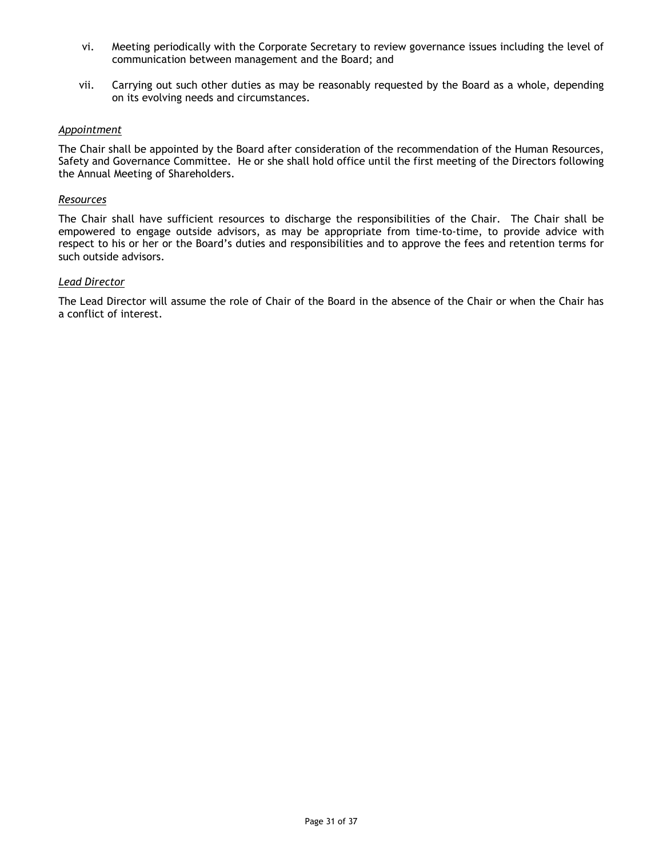- vi. Meeting periodically with the Corporate Secretary to review governance issues including the level of communication between management and the Board; and
- vii. Carrying out such other duties as may be reasonably requested by the Board as a whole, depending on its evolving needs and circumstances.

### *Appointment*

The Chair shall be appointed by the Board after consideration of the recommendation of the Human Resources, Safety and Governance Committee. He or she shall hold office until the first meeting of the Directors following the Annual Meeting of Shareholders.

#### *Resources*

The Chair shall have sufficient resources to discharge the responsibilities of the Chair. The Chair shall be empowered to engage outside advisors, as may be appropriate from time-to-time, to provide advice with respect to his or her or the Board's duties and responsibilities and to approve the fees and retention terms for such outside advisors.

#### *Lead Director*

The Lead Director will assume the role of Chair of the Board in the absence of the Chair or when the Chair has a conflict of interest.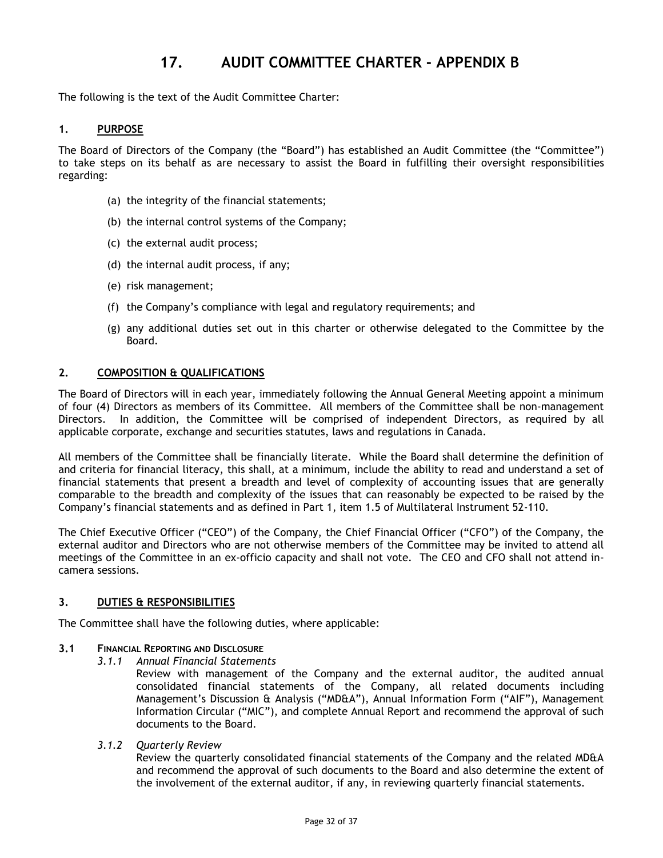# **17. AUDIT COMMITTEE CHARTER - APPENDIX B**

<span id="page-31-0"></span>The following is the text of the Audit Committee Charter:

### **1. PURPOSE**

The Board of Directors of the Company (the "Board") has established an Audit Committee (the "Committee") to take steps on its behalf as are necessary to assist the Board in fulfilling their oversight responsibilities regarding:

- (a) the integrity of the financial statements;
- (b) the internal control systems of the Company;
- (c) the external audit process;
- (d) the internal audit process, if any;
- (e) risk management;
- (f) the Company's compliance with legal and regulatory requirements; and
- (g) any additional duties set out in this charter or otherwise delegated to the Committee by the Board.

## **2. COMPOSITION & QUALIFICATIONS**

The Board of Directors will in each year, immediately following the Annual General Meeting appoint a minimum of four (4) Directors as members of its Committee. All members of the Committee shall be non-management Directors. In addition, the Committee will be comprised of independent Directors, as required by all applicable corporate, exchange and securities statutes, laws and regulations in Canada.

All members of the Committee shall be financially literate. While the Board shall determine the definition of and criteria for financial literacy, this shall, at a minimum, include the ability to read and understand a set of financial statements that present a breadth and level of complexity of accounting issues that are generally comparable to the breadth and complexity of the issues that can reasonably be expected to be raised by the Company's financial statements and as defined in Part 1, item 1.5 of Multilateral Instrument 52-110.

The Chief Executive Officer ("CEO") of the Company, the Chief Financial Officer ("CFO") of the Company, the external auditor and Directors who are not otherwise members of the Committee may be invited to attend all meetings of the Committee in an ex-officio capacity and shall not vote. The CEO and CFO shall not attend incamera sessions.

## **3. DUTIES & RESPONSIBILITIES**

The Committee shall have the following duties, where applicable:

#### **3.1 FINANCIAL REPORTING AND DISCLOSURE**

*3.1.1 Annual Financial Statements*

Review with management of the Company and the external auditor, the audited annual consolidated financial statements of the Company, all related documents including Management's Discussion & Analysis ("MD&A"), Annual Information Form ("AIF"), Management Information Circular ("MIC"), and complete Annual Report and recommend the approval of such documents to the Board.

*3.1.2 Quarterly Review*

Review the quarterly consolidated financial statements of the Company and the related MD&A and recommend the approval of such documents to the Board and also determine the extent of the involvement of the external auditor, if any, in reviewing quarterly financial statements.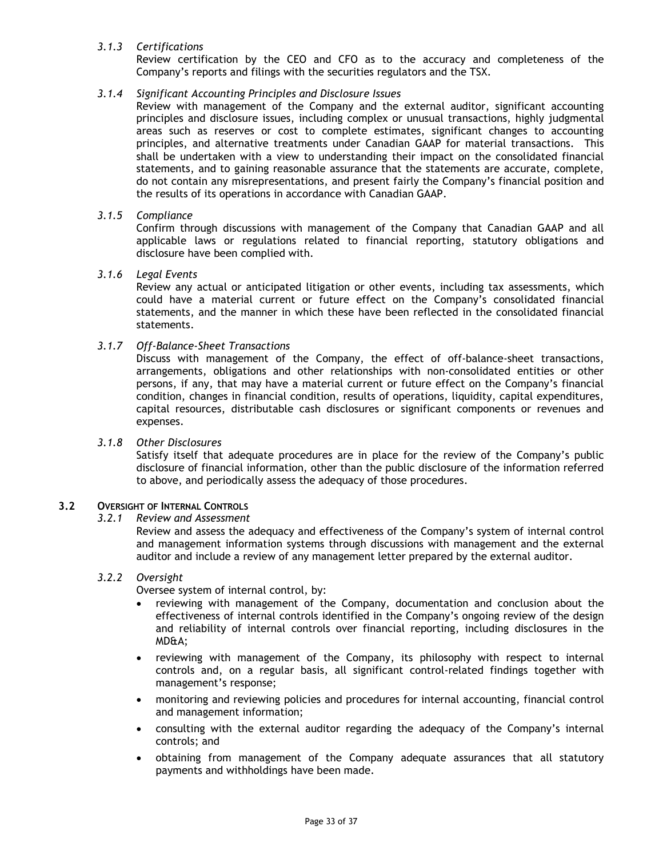# *3.1.3 Certifications*

Review certification by the CEO and CFO as to the accuracy and completeness of the Company's reports and filings with the securities regulators and the TSX.

### *3.1.4 Significant Accounting Principles and Disclosure Issues*

Review with management of the Company and the external auditor, significant accounting principles and disclosure issues, including complex or unusual transactions, highly judgmental areas such as reserves or cost to complete estimates, significant changes to accounting principles, and alternative treatments under Canadian GAAP for material transactions. This shall be undertaken with a view to understanding their impact on the consolidated financial statements, and to gaining reasonable assurance that the statements are accurate, complete, do not contain any misrepresentations, and present fairly the Company's financial position and the results of its operations in accordance with Canadian GAAP.

### *3.1.5 Compliance*

Confirm through discussions with management of the Company that Canadian GAAP and all applicable laws or regulations related to financial reporting, statutory obligations and disclosure have been complied with.

#### *3.1.6 Legal Events*

Review any actual or anticipated litigation or other events, including tax assessments, which could have a material current or future effect on the Company's consolidated financial statements, and the manner in which these have been reflected in the consolidated financial statements.

## *3.1.7 Off-Balance-Sheet Transactions*

Discuss with management of the Company, the effect of off-balance-sheet transactions, arrangements, obligations and other relationships with non-consolidated entities or other persons, if any, that may have a material current or future effect on the Company's financial condition, changes in financial condition, results of operations, liquidity, capital expenditures, capital resources, distributable cash disclosures or significant components or revenues and expenses.

#### *3.1.8 Other Disclosures*

Satisfy itself that adequate procedures are in place for the review of the Company's public disclosure of financial information, other than the public disclosure of the information referred to above, and periodically assess the adequacy of those procedures.

### **3.2 OVERSIGHT OF INTERNAL CONTROLS**

*3.2.1 Review and Assessment*

Review and assess the adequacy and effectiveness of the Company's system of internal control and management information systems through discussions with management and the external auditor and include a review of any management letter prepared by the external auditor.

# *3.2.2 Oversight*

Oversee system of internal control, by:

- reviewing with management of the Company, documentation and conclusion about the effectiveness of internal controls identified in the Company's ongoing review of the design and reliability of internal controls over financial reporting, including disclosures in the MD&A;
- reviewing with management of the Company, its philosophy with respect to internal controls and, on a regular basis, all significant control-related findings together with management's response;
- monitoring and reviewing policies and procedures for internal accounting, financial control and management information;
- consulting with the external auditor regarding the adequacy of the Company's internal controls; and
- obtaining from management of the Company adequate assurances that all statutory payments and withholdings have been made.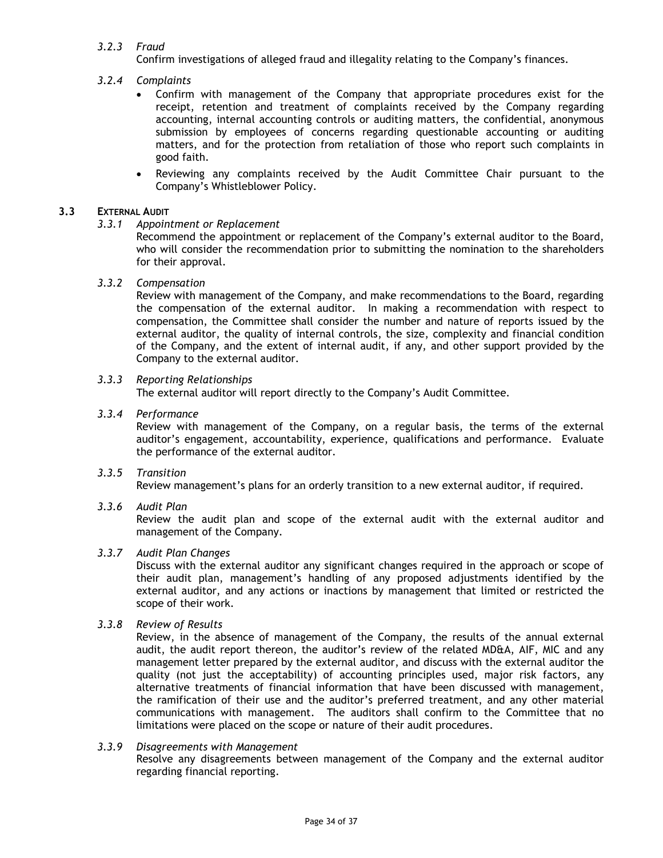# *3.2.3 Fraud*

Confirm investigations of alleged fraud and illegality relating to the Company's finances.

## *3.2.4 Complaints*

- Confirm with management of the Company that appropriate procedures exist for the receipt, retention and treatment of complaints received by the Company regarding accounting, internal accounting controls or auditing matters, the confidential, anonymous submission by employees of concerns regarding questionable accounting or auditing matters, and for the protection from retaliation of those who report such complaints in good faith.
- Reviewing any complaints received by the Audit Committee Chair pursuant to the Company's Whistleblower Policy.

### **3.3 EXTERNAL AUDIT**

#### *3.3.1 Appointment or Replacement*

Recommend the appointment or replacement of the Company's external auditor to the Board, who will consider the recommendation prior to submitting the nomination to the shareholders for their approval.

#### *3.3.2 Compensation*

Review with management of the Company, and make recommendations to the Board, regarding the compensation of the external auditor. In making a recommendation with respect to compensation, the Committee shall consider the number and nature of reports issued by the external auditor, the quality of internal controls, the size, complexity and financial condition of the Company, and the extent of internal audit, if any, and other support provided by the Company to the external auditor.

#### *3.3.3 Reporting Relationships*

The external auditor will report directly to the Company's Audit Committee.

#### *3.3.4 Performance*

Review with management of the Company, on a regular basis, the terms of the external auditor's engagement, accountability, experience, qualifications and performance. Evaluate the performance of the external auditor.

*3.3.5 Transition* Review management's plans for an orderly transition to a new external auditor, if required.

#### *3.3.6 Audit Plan*

Review the audit plan and scope of the external audit with the external auditor and management of the Company.

## *3.3.7 Audit Plan Changes*

Discuss with the external auditor any significant changes required in the approach or scope of their audit plan, management's handling of any proposed adjustments identified by the external auditor, and any actions or inactions by management that limited or restricted the scope of their work.

## *3.3.8 Review of Results*

Review, in the absence of management of the Company, the results of the annual external audit, the audit report thereon, the auditor's review of the related MD&A, AIF, MIC and any management letter prepared by the external auditor, and discuss with the external auditor the quality (not just the acceptability) of accounting principles used, major risk factors, any alternative treatments of financial information that have been discussed with management, the ramification of their use and the auditor's preferred treatment, and any other material communications with management. The auditors shall confirm to the Committee that no limitations were placed on the scope or nature of their audit procedures.

## *3.3.9 Disagreements with Management*

Resolve any disagreements between management of the Company and the external auditor regarding financial reporting.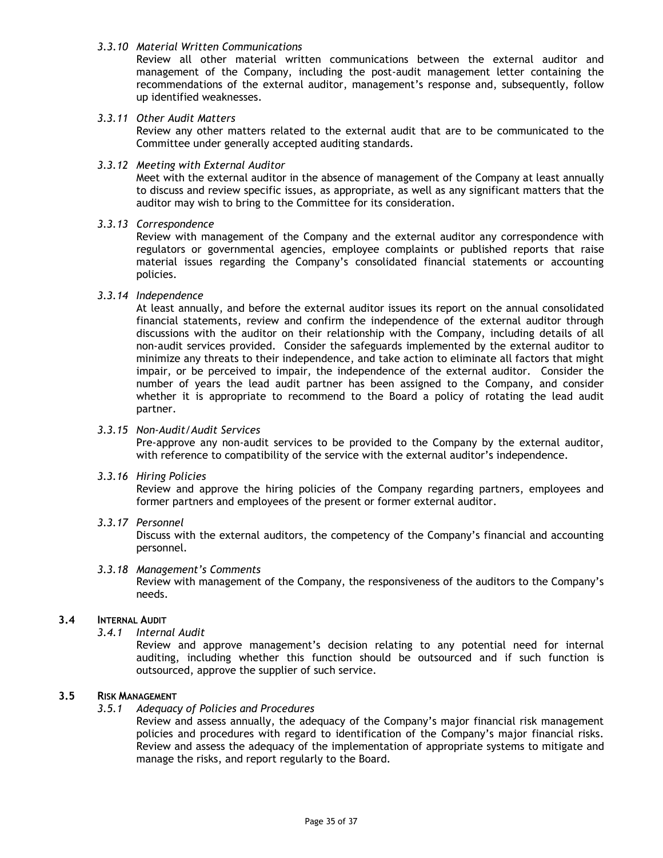#### *3.3.10 Material Written Communications*

Review all other material written communications between the external auditor and management of the Company, including the post-audit management letter containing the recommendations of the external auditor, management's response and, subsequently, follow up identified weaknesses.

## *3.3.11 Other Audit Matters*

Review any other matters related to the external audit that are to be communicated to the Committee under generally accepted auditing standards.

#### *3.3.12 Meeting with External Auditor*

Meet with the external auditor in the absence of management of the Company at least annually to discuss and review specific issues, as appropriate, as well as any significant matters that the auditor may wish to bring to the Committee for its consideration.

#### *3.3.13 Correspondence*

Review with management of the Company and the external auditor any correspondence with regulators or governmental agencies, employee complaints or published reports that raise material issues regarding the Company's consolidated financial statements or accounting policies.

#### *3.3.14 Independence*

At least annually, and before the external auditor issues its report on the annual consolidated financial statements, review and confirm the independence of the external auditor through discussions with the auditor on their relationship with the Company, including details of all non-audit services provided. Consider the safeguards implemented by the external auditor to minimize any threats to their independence, and take action to eliminate all factors that might impair, or be perceived to impair, the independence of the external auditor. Consider the number of years the lead audit partner has been assigned to the Company, and consider whether it is appropriate to recommend to the Board a policy of rotating the lead audit partner.

#### *3.3.15 Non-Audit/Audit Services*

Pre-approve any non-audit services to be provided to the Company by the external auditor, with reference to compatibility of the service with the external auditor's independence.

#### *3.3.16 Hiring Policies*

Review and approve the hiring policies of the Company regarding partners, employees and former partners and employees of the present or former external auditor.

#### *3.3.17 Personnel*

Discuss with the external auditors, the competency of the Company's financial and accounting personnel.

#### *3.3.18 Management's Comments*

Review with management of the Company, the responsiveness of the auditors to the Company's needs.

#### **3.4 INTERNAL AUDIT**

*3.4.1 Internal Audit*

Review and approve management's decision relating to any potential need for internal auditing, including whether this function should be outsourced and if such function is outsourced, approve the supplier of such service.

#### **3.5 RISK MANAGEMENT**

*3.5.1 Adequacy of Policies and Procedures*

Review and assess annually, the adequacy of the Company's major financial risk management policies and procedures with regard to identification of the Company's major financial risks. Review and assess the adequacy of the implementation of appropriate systems to mitigate and manage the risks, and report regularly to the Board.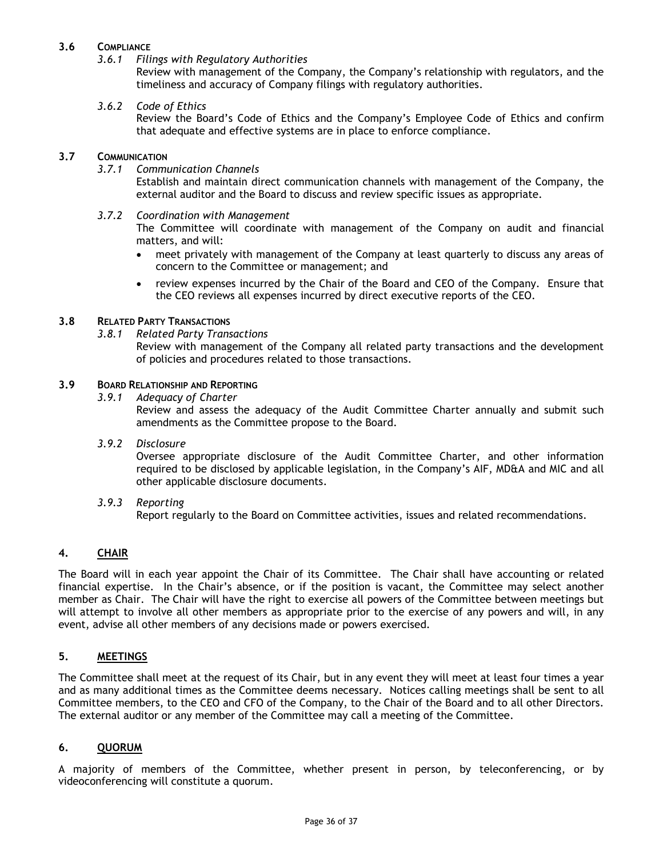# **3.6 COMPLIANCE**

*3.6.1 Filings with Regulatory Authorities*

Review with management of the Company, the Company's relationship with regulators, and the timeliness and accuracy of Company filings with regulatory authorities.

#### *3.6.2 Code of Ethics*

Review the Board's Code of Ethics and the Company's Employee Code of Ethics and confirm that adequate and effective systems are in place to enforce compliance.

#### **3.7 COMMUNICATION**

*3.7.1 Communication Channels*

Establish and maintain direct communication channels with management of the Company, the external auditor and the Board to discuss and review specific issues as appropriate.

*3.7.2 Coordination with Management*

The Committee will coordinate with management of the Company on audit and financial matters, and will:

- meet privately with management of the Company at least quarterly to discuss any areas of concern to the Committee or management; and
- review expenses incurred by the Chair of the Board and CEO of the Company. Ensure that the CEO reviews all expenses incurred by direct executive reports of the CEO.

# **3.8 RELATED PARTY TRANSACTIONS**

*3.8.1 Related Party Transactions*

Review with management of the Company all related party transactions and the development of policies and procedures related to those transactions.

#### **3.9 BOARD RELATIONSHIP AND REPORTING**

*3.9.1 Adequacy of Charter*

Review and assess the adequacy of the Audit Committee Charter annually and submit such amendments as the Committee propose to the Board.

*3.9.2 Disclosure*

Oversee appropriate disclosure of the Audit Committee Charter, and other information required to be disclosed by applicable legislation, in the Company's AIF, MD&A and MIC and all other applicable disclosure documents.

*3.9.3 Reporting*

Report regularly to the Board on Committee activities, issues and related recommendations.

# **4. CHAIR**

The Board will in each year appoint the Chair of its Committee. The Chair shall have accounting or related financial expertise. In the Chair's absence, or if the position is vacant, the Committee may select another member as Chair. The Chair will have the right to exercise all powers of the Committee between meetings but will attempt to involve all other members as appropriate prior to the exercise of any powers and will, in any event, advise all other members of any decisions made or powers exercised.

# **5. MEETINGS**

The Committee shall meet at the request of its Chair, but in any event they will meet at least four times a year and as many additional times as the Committee deems necessary. Notices calling meetings shall be sent to all Committee members, to the CEO and CFO of the Company, to the Chair of the Board and to all other Directors. The external auditor or any member of the Committee may call a meeting of the Committee.

#### **6. QUORUM**

A majority of members of the Committee, whether present in person, by teleconferencing, or by videoconferencing will constitute a quorum.